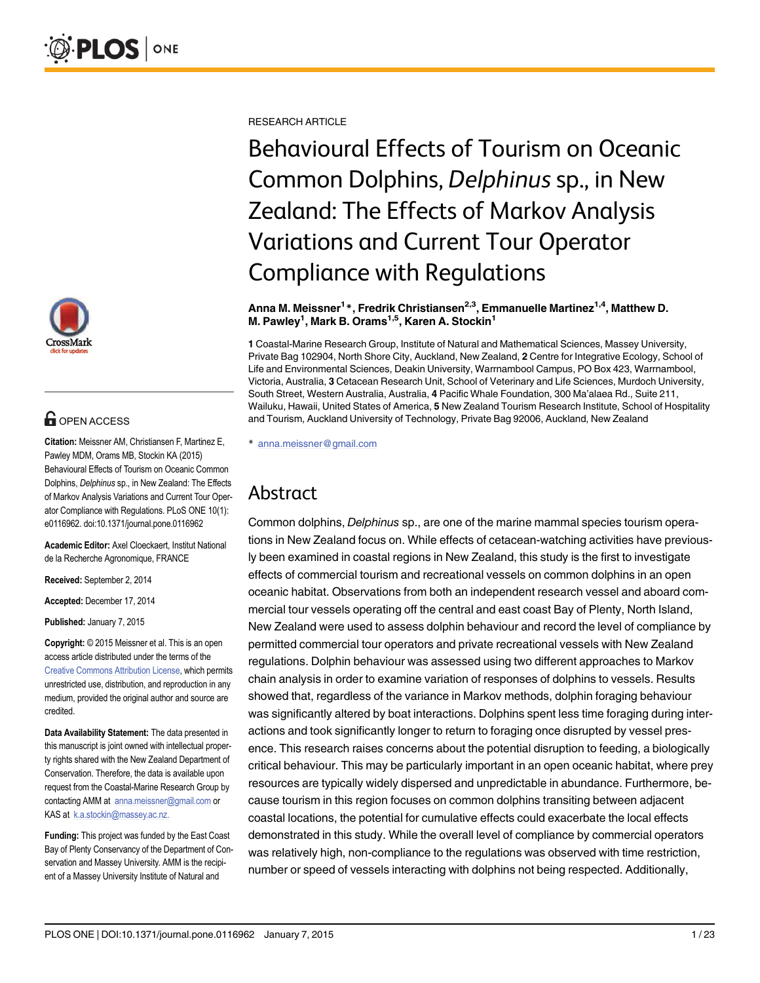

# **O** OPEN ACCESS

Citation: Meissner AM, Christiansen F, Martinez E, Pawley MDM, Orams MB, Stockin KA (2015) Behavioural Effects of Tourism on Oceanic Common Dolphins, Delphinus sp., in New Zealand: The Effects of Markov Analysis Variations and Current Tour Operator Compliance with Regulations. PLoS ONE 10(1): e0116962. doi:10.1371/journal.pone.0116962

Academic Editor: Axel Cloeckaert, Institut National de la Recherche Agronomique, FRANCE

Received: September 2, 2014

Accepted: December 17, 2014

Published: January 7, 2015

Copyright: © 2015 Meissner et al. This is an open access article distributed under the terms of the [Creative Commons Attribution License,](http://creativecommons.org/licenses/by/4.0/) which permits unrestricted use, distribution, and reproduction in any medium, provided the original author and source are credited.

Data Availability Statement: The data presented in this manuscript is joint owned with intellectual property rights shared with the New Zealand Department of Conservation. Therefore, the data is available upon request from the Coastal-Marine Research Group by contacting AMM at anna.meissner@gmail.com or KAS at k.a.stockin@massey.ac.nz.

Funding: This project was funded by the East Coast Bay of Plenty Conservancy of the Department of Conservation and Massey University. AMM is the recipient of a Massey University Institute of Natural and

RESEARCH ARTICLE

Behavioural Effects of Tourism on Oceanic Common Dolphins, Delphinus sp., in New Zealand: The Effects of Markov Analysis Variations and Current Tour Operator Compliance with Regulations

#### Anna M. Meissner<sup>1</sup>\*, Fredrik Christiansen<sup>2,3</sup>, Emmanuelle Martinez<sup>1,4</sup>, Matthew D. M. Pawley<sup>1</sup>, Mark B. Orams<sup>1,5</sup>, Karen A. Stockin<sup>1</sup>

1 Coastal-Marine Research Group, Institute of Natural and Mathematical Sciences, Massey University, Private Bag 102904, North Shore City, Auckland, New Zealand, 2 Centre for Integrative Ecology, School of Life and Environmental Sciences, Deakin University, Warrnambool Campus, PO Box 423, Warrnambool, Victoria, Australia, 3 Cetacean Research Unit, School of Veterinary and Life Sciences, Murdoch University, South Street, Western Australia, Australia, 4 Pacific Whale Foundation, 300 Ma'alaea Rd., Suite 211, Wailuku, Hawaii, United States of America, 5 New Zealand Tourism Research Institute, School of Hospitality and Tourism, Auckland University of Technology, Private Bag 92006, Auckland, New Zealand

\* anna.meissner@gmail.com

# Abstract

Common dolphins, Delphinus sp., are one of the marine mammal species tourism operations in New Zealand focus on. While effects of cetacean-watching activities have previously been examined in coastal regions in New Zealand, this study is the first to investigate effects of commercial tourism and recreational vessels on common dolphins in an open oceanic habitat. Observations from both an independent research vessel and aboard commercial tour vessels operating off the central and east coast Bay of Plenty, North Island, New Zealand were used to assess dolphin behaviour and record the level of compliance by permitted commercial tour operators and private recreational vessels with New Zealand regulations. Dolphin behaviour was assessed using two different approaches to Markov chain analysis in order to examine variation of responses of dolphins to vessels. Results showed that, regardless of the variance in Markov methods, dolphin foraging behaviour was significantly altered by boat interactions. Dolphins spent less time foraging during interactions and took significantly longer to return to foraging once disrupted by vessel presence. This research raises concerns about the potential disruption to feeding, a biologically critical behaviour. This may be particularly important in an open oceanic habitat, where prey resources are typically widely dispersed and unpredictable in abundance. Furthermore, because tourism in this region focuses on common dolphins transiting between adjacent coastal locations, the potential for cumulative effects could exacerbate the local effects demonstrated in this study. While the overall level of compliance by commercial operators was relatively high, non-compliance to the regulations was observed with time restriction, number or speed of vessels interacting with dolphins not being respected. Additionally,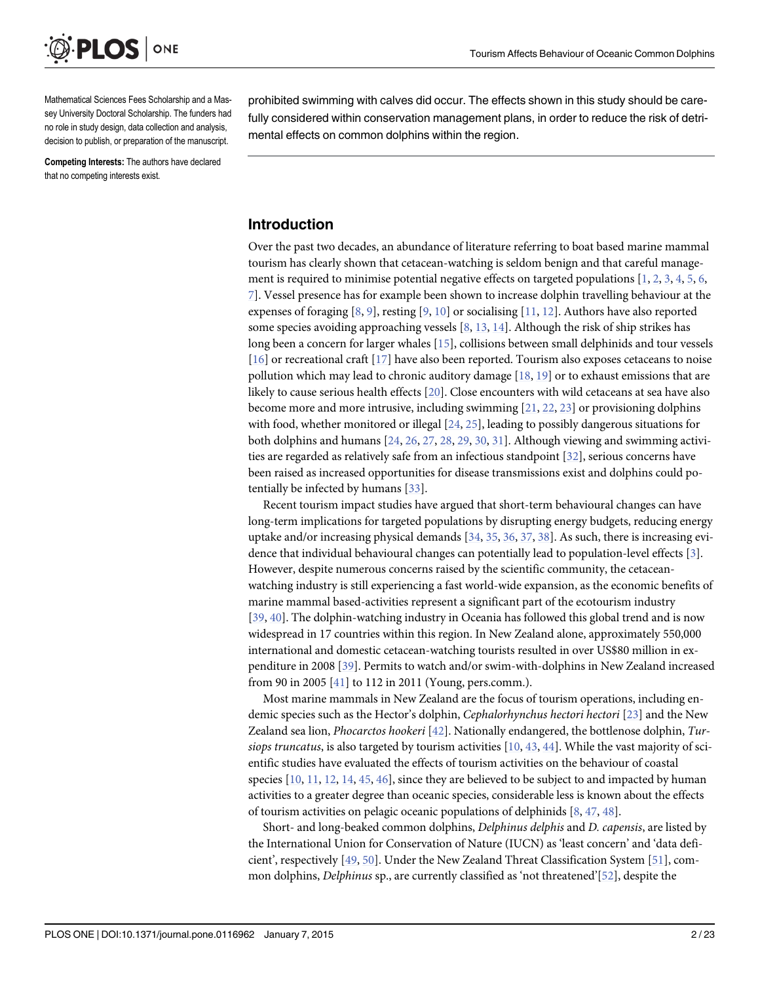<span id="page-1-0"></span>

Mathematical Sciences Fees Scholarship and a Massey University Doctoral Scholarship. The funders had no role in study design, data collection and analysis, decision to publish, or preparation of the manuscript.

Competing Interests: The authors have declared that no competing interests exist.

prohibited swimming with calves did occur. The effects shown in this study should be carefully considered within conservation management plans, in order to reduce the risk of detrimental effects on common dolphins within the region.

# Introduction

Over the past two decades, an abundance of literature referring to boat based marine mammal tourism has clearly shown that cetacean-watching is seldom benign and that careful manage-ment is required to minimise potential negative effects on targeted populations [[1,](#page-17-0) [2,](#page-17-0) [3](#page-17-0), [4](#page-17-0), [5,](#page-17-0) [6,](#page-17-0) [7\]](#page-17-0). Vessel presence has for example been shown to increase dolphin travelling behaviour at the expenses of foraging  $[8, 9]$  $[8, 9]$  $[8, 9]$  $[8, 9]$ , resting  $[9, 10]$  $[9, 10]$  $[9, 10]$  $[9, 10]$  or socialising  $[11, 12]$  $[11, 12]$  $[11, 12]$  $[11, 12]$ . Authors have also reported some species avoiding approaching vessels  $[8, 13, 14]$  $[8, 13, 14]$  $[8, 13, 14]$  $[8, 13, 14]$  $[8, 13, 14]$  $[8, 13, 14]$ . Although the risk of ship strikes has long been a concern for larger whales [[15](#page-17-0)], collisions between small delphinids and tour vessels [\[16](#page-18-0)] or recreational craft [[17](#page-18-0)] have also been reported. Tourism also exposes cetaceans to noise pollution which may lead to chronic auditory damage  $[18, 19]$  $[18, 19]$  $[18, 19]$  $[18, 19]$  or to exhaust emissions that are likely to cause serious health effects [\[20\]](#page-18-0). Close encounters with wild cetaceans at sea have also become more and more intrusive, including swimming [\[21,](#page-18-0) [22,](#page-18-0) [23\]](#page-18-0) or provisioning dolphins with food, whether monitored or illegal [\[24,](#page-18-0) [25\]](#page-18-0), leading to possibly dangerous situations for both dolphins and humans  $[24, 26, 27, 28, 29, 30, 31]$  $[24, 26, 27, 28, 29, 30, 31]$  $[24, 26, 27, 28, 29, 30, 31]$  $[24, 26, 27, 28, 29, 30, 31]$  $[24, 26, 27, 28, 29, 30, 31]$  $[24, 26, 27, 28, 29, 30, 31]$  $[24, 26, 27, 28, 29, 30, 31]$  $[24, 26, 27, 28, 29, 30, 31]$  $[24, 26, 27, 28, 29, 30, 31]$  $[24, 26, 27, 28, 29, 30, 31]$  $[24, 26, 27, 28, 29, 30, 31]$  $[24, 26, 27, 28, 29, 30, 31]$  $[24, 26, 27, 28, 29, 30, 31]$  $[24, 26, 27, 28, 29, 30, 31]$  $[24, 26, 27, 28, 29, 30, 31]$ . Although viewing and swimming activities are regarded as relatively safe from an infectious standpoint [[32](#page-18-0)], serious concerns have been raised as increased opportunities for disease transmissions exist and dolphins could potentially be infected by humans [\[33\]](#page-18-0).

Recent tourism impact studies have argued that short-term behavioural changes can have long-term implications for targeted populations by disrupting energy budgets, reducing energy uptake and/or increasing physical demands  $[34, 35, 36, 37, 38]$  $[34, 35, 36, 37, 38]$  $[34, 35, 36, 37, 38]$  $[34, 35, 36, 37, 38]$  $[34, 35, 36, 37, 38]$  $[34, 35, 36, 37, 38]$  $[34, 35, 36, 37, 38]$  $[34, 35, 36, 37, 38]$  $[34, 35, 36, 37, 38]$  $[34, 35, 36, 37, 38]$  $[34, 35, 36, 37, 38]$ . As such, there is increasing evidence that individual behavioural changes can potentially lead to population-level effects [\[3\]](#page-17-0). However, despite numerous concerns raised by the scientific community, the cetaceanwatching industry is still experiencing a fast world-wide expansion, as the economic benefits of marine mammal based-activities represent a significant part of the ecotourism industry [\[39](#page-19-0), [40\]](#page-19-0). The dolphin-watching industry in Oceania has followed this global trend and is now widespread in 17 countries within this region. In New Zealand alone, approximately 550,000 international and domestic cetacean-watching tourists resulted in over US\$80 million in expenditure in 2008 [[39](#page-19-0)]. Permits to watch and/or swim-with-dolphins in New Zealand increased from 90 in 2005  $[41]$  $[41]$  $[41]$  to 112 in 2011 (Young, pers.comm.).

Most marine mammals in New Zealand are the focus of tourism operations, including en-demic species such as the Hector's dolphin, Cephalorhynchus hectori hectori [\[23\]](#page-18-0) and the New Zealand sea lion, *Phocarctos hookeri* [ $42$ ]. Nationally endangered, the bottlenose dolphin, *Tur*siops truncatus, is also targeted by tourism activities  $[10, 43, 44]$  $[10, 43, 44]$  $[10, 43, 44]$  $[10, 43, 44]$  $[10, 43, 44]$  $[10, 43, 44]$ . While the vast majority of scientific studies have evaluated the effects of tourism activities on the behaviour of coastal species  $[10, 11, 12, 14, 45, 46]$  $[10, 11, 12, 14, 45, 46]$  $[10, 11, 12, 14, 45, 46]$  $[10, 11, 12, 14, 45, 46]$  $[10, 11, 12, 14, 45, 46]$  $[10, 11, 12, 14, 45, 46]$  $[10, 11, 12, 14, 45, 46]$  $[10, 11, 12, 14, 45, 46]$  $[10, 11, 12, 14, 45, 46]$  $[10, 11, 12, 14, 45, 46]$  $[10, 11, 12, 14, 45, 46]$ , since they are believed to be subject to and impacted by human activities to a greater degree than oceanic species, considerable less is known about the effects of tourism activities on pelagic oceanic populations of delphinids [\[8](#page-17-0), [47](#page-19-0), [48](#page-19-0)].

Short- and long-beaked common dolphins, Delphinus delphis and D. capensis, are listed by the International Union for Conservation of Nature (IUCN) as 'least concern' and 'data deficient', respectively [\[49,](#page-19-0) [50\]](#page-19-0). Under the New Zealand Threat Classification System [\[51](#page-19-0)], common dolphins, Delphinus sp., are currently classified as 'not threatened'[[52\]](#page-19-0), despite the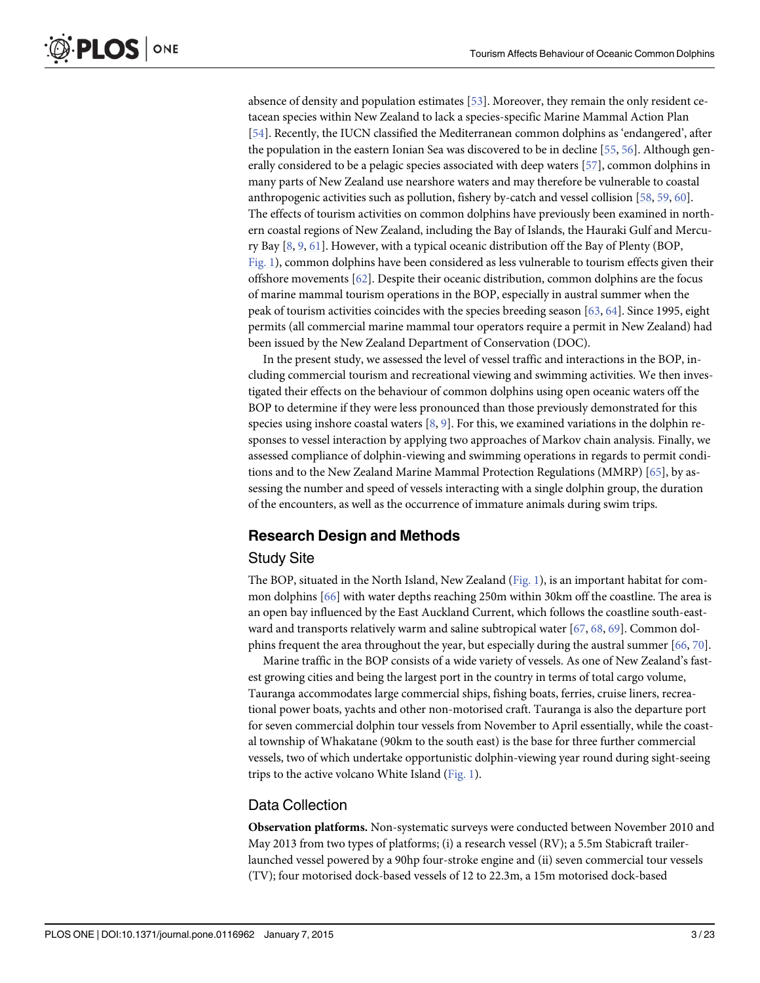absence of density and population estimates [[53](#page-19-0)]. Moreover, they remain the only resident cetacean species within New Zealand to lack a species-specific Marine Mammal Action Plan [\[54](#page-19-0)]. Recently, the IUCN classified the Mediterranean common dolphins as 'endangered', after the population in the eastern Ionian Sea was discovered to be in decline [[55,](#page-19-0) [56](#page-19-0)]. Although generally considered to be a pelagic species associated with deep waters [[57\]](#page-19-0), common dolphins in many parts of New Zealand use nearshore waters and may therefore be vulnerable to coastal anthropogenic activities such as pollution, fishery by-catch and vessel collision [[58](#page-19-0), [59](#page-20-0), [60](#page-20-0)]. The effects of tourism activities on common dolphins have previously been examined in northern coastal regions of New Zealand, including the Bay of Islands, the Hauraki Gulf and Mercury Bay  $[8, 9, 61]$  $[8, 9, 61]$  $[8, 9, 61]$  $[8, 9, 61]$  $[8, 9, 61]$  $[8, 9, 61]$ . However, with a typical oceanic distribution off the Bay of Plenty (BOP, [Fig. 1\)](#page-3-0), common dolphins have been considered as less vulnerable to tourism effects given their offshore movements  $[62]$  $[62]$  $[62]$ . Despite their oceanic distribution, common dolphins are the focus of marine mammal tourism operations in the BOP, especially in austral summer when the peak of tourism activities coincides with the species breeding season [\[63,](#page-20-0) [64\]](#page-20-0). Since 1995, eight permits (all commercial marine mammal tour operators require a permit in New Zealand) had been issued by the New Zealand Department of Conservation (DOC).

In the present study, we assessed the level of vessel traffic and interactions in the BOP, including commercial tourism and recreational viewing and swimming activities. We then investigated their effects on the behaviour of common dolphins using open oceanic waters off the BOP to determine if they were less pronounced than those previously demonstrated for this species using inshore coastal waters  $[8, 9]$  $[8, 9]$  $[8, 9]$  $[8, 9]$ . For this, we examined variations in the dolphin responses to vessel interaction by applying two approaches of Markov chain analysis. Finally, we assessed compliance of dolphin-viewing and swimming operations in regards to permit conditions and to the New Zealand Marine Mammal Protection Regulations (MMRP) [[65](#page-20-0)], by assessing the number and speed of vessels interacting with a single dolphin group, the duration of the encounters, as well as the occurrence of immature animals during swim trips.

### Research Design and Methods

#### Study Site

The BOP, situated in the North Island, New Zealand [\(Fig. 1\)](#page-3-0), is an important habitat for common dolphins [\[66\]](#page-20-0) with water depths reaching 250m within 30km off the coastline. The area is an open bay influenced by the East Auckland Current, which follows the coastline south-eastward and transports relatively warm and saline subtropical water  $[67, 68, 69]$  $[67, 68, 69]$  $[67, 68, 69]$  $[67, 68, 69]$  $[67, 68, 69]$ . Common dolphins frequent the area throughout the year, but especially during the austral summer [\[66,](#page-20-0) [70\]](#page-20-0).

Marine traffic in the BOP consists of a wide variety of vessels. As one of New Zealand's fastest growing cities and being the largest port in the country in terms of total cargo volume, Tauranga accommodates large commercial ships, fishing boats, ferries, cruise liners, recreational power boats, yachts and other non-motorised craft. Tauranga is also the departure port for seven commercial dolphin tour vessels from November to April essentially, while the coastal township of Whakatane (90km to the south east) is the base for three further commercial vessels, two of which undertake opportunistic dolphin-viewing year round during sight-seeing trips to the active volcano White Island  $(Fig. 1)$  $(Fig. 1)$  $(Fig. 1)$ .

### Data Collection

Observation platforms. Non-systematic surveys were conducted between November 2010 and May 2013 from two types of platforms; (i) a research vessel (RV); a 5.5m Stabicraft trailerlaunched vessel powered by a 90hp four-stroke engine and (ii) seven commercial tour vessels (TV); four motorised dock-based vessels of 12 to 22.3m, a 15m motorised dock-based

<span id="page-2-0"></span>PLOS ONE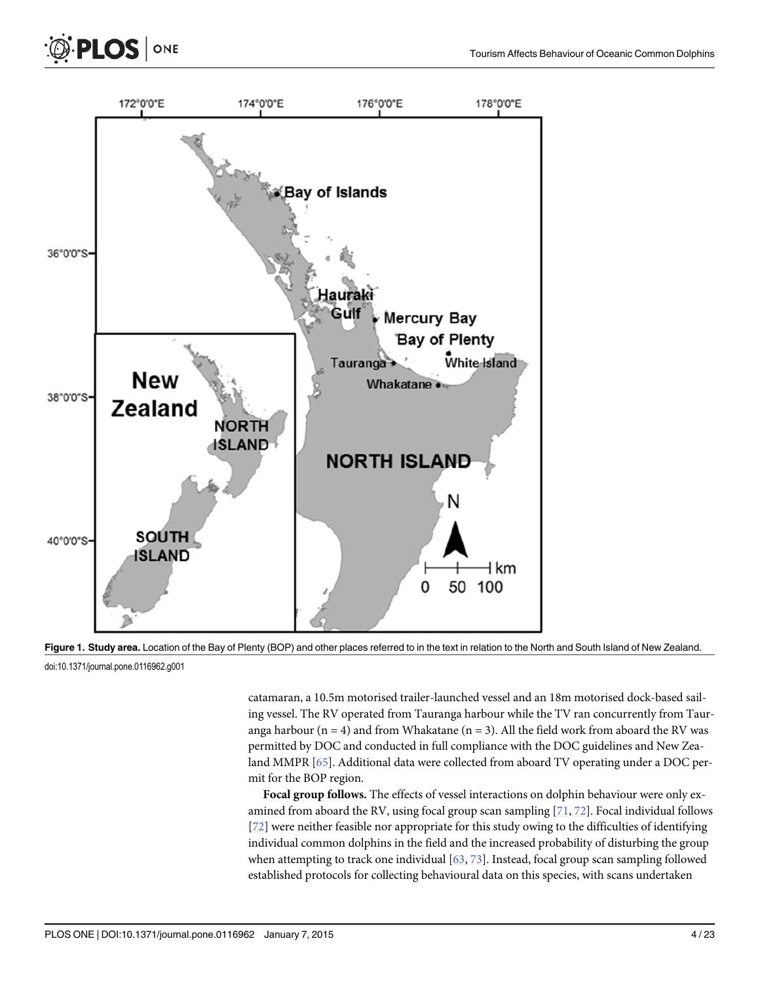<span id="page-3-0"></span>



[Figure 1.](#page-2-0) Study area. Location of the Bay of Plenty (BOP) and other places referred to in the text in relation to the North and South Island of New Zealand.

doi:10.1371/journal.pone.0116962.g001

catamaran, a 10.5m motorised trailer-launched vessel and an 18m motorised dock-based sailing vessel. The RV operated from Tauranga harbour while the TV ran concurrently from Tauranga harbour ( $n = 4$ ) and from Whakatane ( $n = 3$ ). All the field work from aboard the RV was permitted by DOC and conducted in full compliance with the DOC guidelines and New Zea-land MMPR [[65](#page-20-0)]. Additional data were collected from aboard TV operating under a DOC permit for the BOP region.

Focal group follows. The effects of vessel interactions on dolphin behaviour were only examined from aboard the RV, using focal group scan sampling  $[71, 72]$  $[71, 72]$  $[71, 72]$  $[71, 72]$  $[71, 72]$ . Focal individual follows [\[72](#page-20-0)] were neither feasible nor appropriate for this study owing to the difficulties of identifying individual common dolphins in the field and the increased probability of disturbing the group when attempting to track one individual [\[63,](#page-20-0) [73\]](#page-20-0). Instead, focal group scan sampling followed established protocols for collecting behavioural data on this species, with scans undertaken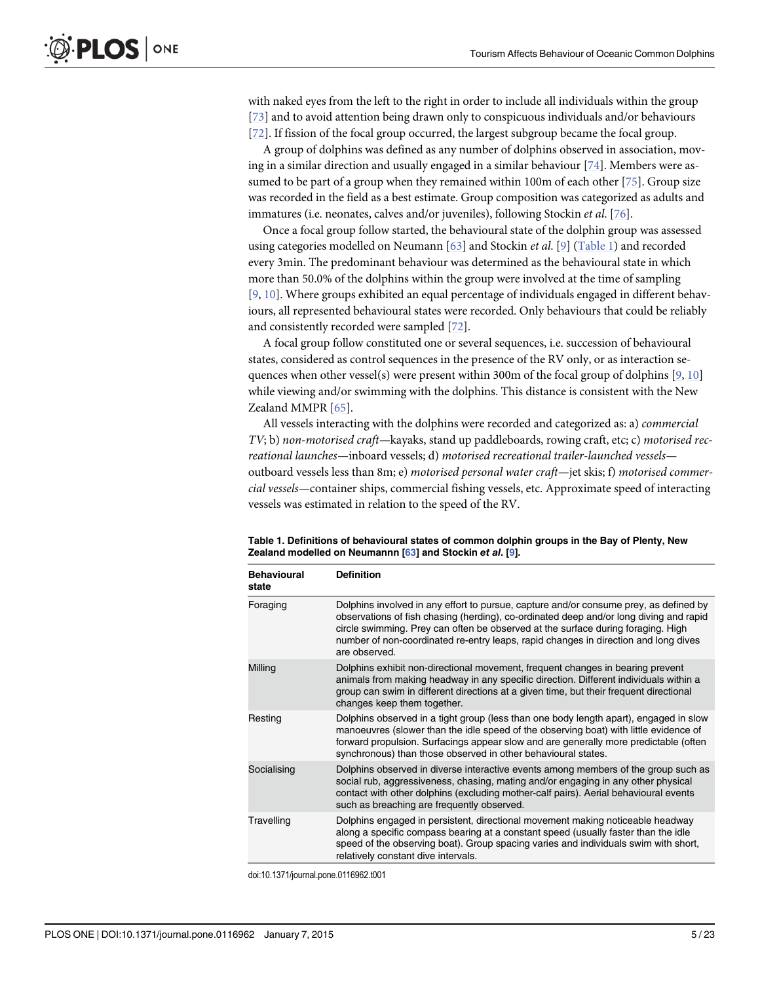<span id="page-4-0"></span>with naked eyes from the left to the right in order to include all individuals within the group [\[73](#page-20-0)] and to avoid attention being drawn only to conspicuous individuals and/or behaviours [\[72](#page-20-0)]. If fission of the focal group occurred, the largest subgroup became the focal group.

A group of dolphins was defined as any number of dolphins observed in association, moving in a similar direction and usually engaged in a similar behaviour [[74](#page-20-0)]. Members were assumed to be part of a group when they remained within 100m of each other [\[75\]](#page-20-0). Group size was recorded in the field as a best estimate. Group composition was categorized as adults and immatures (i.e. neonates, calves and/or juveniles), following Stockin et al. [[76](#page-20-0)].

Once a focal group follow started, the behavioural state of the dolphin group was assessed using categories modelled on Neumann  $[63]$  $[63]$  $[63]$  and Stockin et al.  $[9]$  $[9]$  $[9]$  (Table 1) and recorded every 3min. The predominant behaviour was determined as the behavioural state in which more than 50.0% of the dolphins within the group were involved at the time of sampling [\[9](#page-17-0), [10](#page-17-0)]. Where groups exhibited an equal percentage of individuals engaged in different behaviours, all represented behavioural states were recorded. Only behaviours that could be reliably and consistently recorded were sampled [[72\]](#page-20-0).

A focal group follow constituted one or several sequences, i.e. succession of behavioural states, considered as control sequences in the presence of the RV only, or as interaction sequences when other vessel(s) were present within 300m of the focal group of dolphins  $[9, 10]$  $[9, 10]$  $[9, 10]$  $[9, 10]$  $[9, 10]$ while viewing and/or swimming with the dolphins. This distance is consistent with the New Zealand MMPR [\[65\]](#page-20-0).

All vessels interacting with the dolphins were recorded and categorized as: a) commercial  $TV$ ; b) non-motorised craft—kayaks, stand up paddleboards, rowing craft, etc; c) motorised recreational launches—inboard vessels; d) motorised recreational trailer-launched vessels outboard vessels less than 8m; e) motorised personal water craft—jet skis; f) motorised commercial vessels—container ships, commercial fishing vessels, etc. Approximate speed of interacting vessels was estimated in relation to the speed of the RV.

| <b>Behavioural</b><br>state | <b>Definition</b>                                                                                                                                                                                                                                                                                                                                                           |
|-----------------------------|-----------------------------------------------------------------------------------------------------------------------------------------------------------------------------------------------------------------------------------------------------------------------------------------------------------------------------------------------------------------------------|
| Foraging                    | Dolphins involved in any effort to pursue, capture and/or consume prey, as defined by<br>observations of fish chasing (herding), co-ordinated deep and/or long diving and rapid<br>circle swimming. Prey can often be observed at the surface during foraging. High<br>number of non-coordinated re-entry leaps, rapid changes in direction and long dives<br>are observed. |
| Milling                     | Dolphins exhibit non-directional movement, frequent changes in bearing prevent<br>animals from making headway in any specific direction. Different individuals within a<br>group can swim in different directions at a given time, but their frequent directional<br>changes keep them together.                                                                            |
| Resting                     | Dolphins observed in a tight group (less than one body length apart), engaged in slow<br>manoeuvres (slower than the idle speed of the observing boat) with little evidence of<br>forward propulsion. Surfacings appear slow and are generally more predictable (often<br>synchronous) than those observed in other behavioural states.                                     |
| Socialising                 | Dolphins observed in diverse interactive events among members of the group such as<br>social rub, aggressiveness, chasing, mating and/or engaging in any other physical<br>contact with other dolphins (excluding mother-calf pairs). Aerial behavioural events<br>such as breaching are frequently observed.                                                               |
| Travelling                  | Dolphins engaged in persistent, directional movement making noticeable headway<br>along a specific compass bearing at a constant speed (usually faster than the idle<br>speed of the observing boat). Group spacing varies and individuals swim with short,<br>relatively constant dive intervals.                                                                          |

Table 1. Definitions of behavioural states of common dolphin groups in the Bay of Plenty, New Zealand modelled on Neumannn [\[63](#page-20-0)] and Stockin et al. [\[9\]](#page-17-0).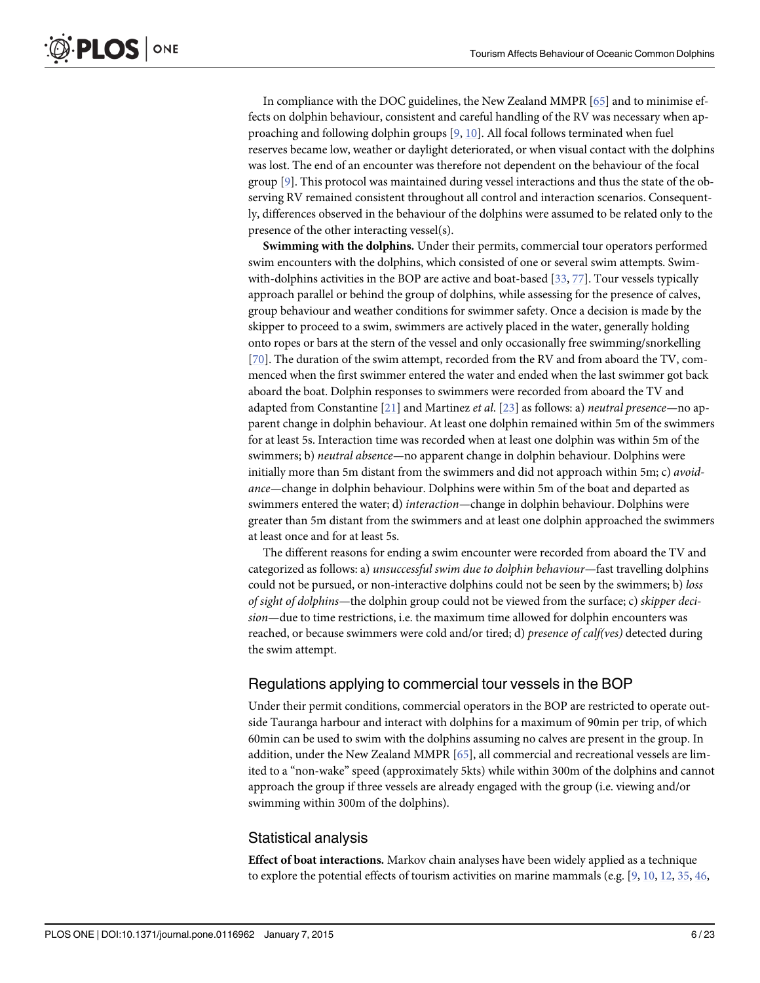<span id="page-5-0"></span>In compliance with the DOC guidelines, the New Zealand MMPR [\[65\]](#page-20-0) and to minimise effects on dolphin behaviour, consistent and careful handling of the RV was necessary when approaching and following dolphin groups [[9,](#page-17-0) [10](#page-17-0)]. All focal follows terminated when fuel reserves became low, weather or daylight deteriorated, or when visual contact with the dolphins was lost. The end of an encounter was therefore not dependent on the behaviour of the focal group [\[9](#page-17-0)]. This protocol was maintained during vessel interactions and thus the state of the observing RV remained consistent throughout all control and interaction scenarios. Consequently, differences observed in the behaviour of the dolphins were assumed to be related only to the presence of the other interacting vessel(s).

Swimming with the dolphins. Under their permits, commercial tour operators performed swim encounters with the dolphins, which consisted of one or several swim attempts. Swimwith-dolphins activities in the BOP are active and boat-based  $[33, 77]$  $[33, 77]$  $[33, 77]$ . Tour vessels typically approach parallel or behind the group of dolphins, while assessing for the presence of calves, group behaviour and weather conditions for swimmer safety. Once a decision is made by the skipper to proceed to a swim, swimmers are actively placed in the water, generally holding onto ropes or bars at the stern of the vessel and only occasionally free swimming/snorkelling [\[70](#page-20-0)]. The duration of the swim attempt, recorded from the RV and from aboard the TV, commenced when the first swimmer entered the water and ended when the last swimmer got back aboard the boat. Dolphin responses to swimmers were recorded from aboard the TV and adapted from Constantine  $[21]$  and Martinez *et al.*  $[23]$  as follows: a) *neutral presence*—no apparent change in dolphin behaviour. At least one dolphin remained within 5m of the swimmers for at least 5s. Interaction time was recorded when at least one dolphin was within 5m of the swimmers; b) neutral absence—no apparent change in dolphin behaviour. Dolphins were initially more than 5m distant from the swimmers and did not approach within 5m; c) avoidance—change in dolphin behaviour. Dolphins were within 5m of the boat and departed as swimmers entered the water; d) *interaction*—change in dolphin behaviour. Dolphins were greater than 5m distant from the swimmers and at least one dolphin approached the swimmers at least once and for at least 5s.

The different reasons for ending a swim encounter were recorded from aboard the TV and categorized as follows: a) unsuccessful swim due to dolphin behaviour—fast travelling dolphins could not be pursued, or non-interactive dolphins could not be seen by the swimmers; b) loss of sight of dolphins—the dolphin group could not be viewed from the surface; c) skipper decision—due to time restrictions, i.e. the maximum time allowed for dolphin encounters was reached, or because swimmers were cold and/or tired; d) presence of calf(ves) detected during the swim attempt.

### Regulations applying to commercial tour vessels in the BOP

Under their permit conditions, commercial operators in the BOP are restricted to operate outside Tauranga harbour and interact with dolphins for a maximum of 90min per trip, of which 60min can be used to swim with the dolphins assuming no calves are present in the group. In addition, under the New Zealand MMPR [\[65\]](#page-20-0), all commercial and recreational vessels are limited to a "non-wake" speed (approximately 5kts) while within 300m of the dolphins and cannot approach the group if three vessels are already engaged with the group (i.e. viewing and/or swimming within 300m of the dolphins).

## Statistical analysis

Effect of boat interactions. Markov chain analyses have been widely applied as a technique to explore the potential effects of tourism activities on marine mammals (e.g.  $[9, 10, 12, 35, 46,$  $[9, 10, 12, 35, 46,$  $[9, 10, 12, 35, 46,$  $[9, 10, 12, 35, 46,$  $[9, 10, 12, 35, 46,$  $[9, 10, 12, 35, 46,$  $[9, 10, 12, 35, 46,$  $[9, 10, 12, 35, 46,$  $[9, 10, 12, 35, 46,$  $[9, 10, 12, 35, 46,$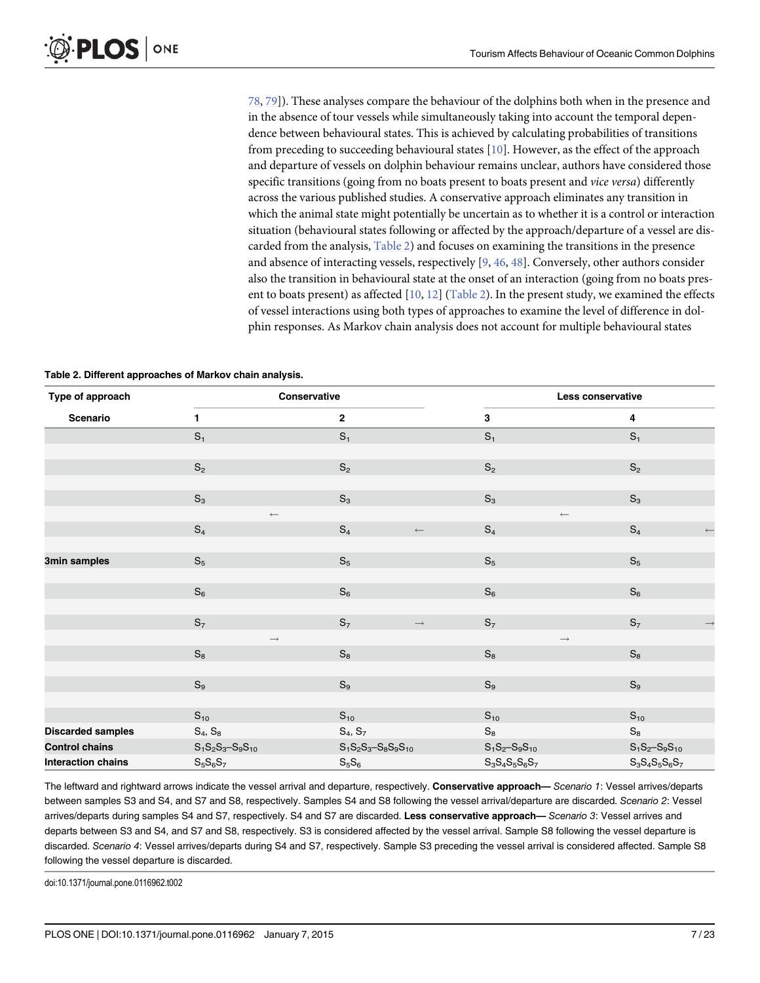[78,](#page-20-0) [79\]](#page-20-0)). These analyses compare the behaviour of the dolphins both when in the presence and in the absence of tour vessels while simultaneously taking into account the temporal dependence between behavioural states. This is achieved by calculating probabilities of transitions from preceding to succeeding behavioural states [[10](#page-17-0)]. However, as the effect of the approach and departure of vessels on dolphin behaviour remains unclear, authors have considered those specific transitions (going from no boats present to boats present and vice versa) differently across the various published studies. A conservative approach eliminates any transition in which the animal state might potentially be uncertain as to whether it is a control or interaction situation (behavioural states following or affected by the approach/departure of a vessel are discarded from the analysis, Table 2) and focuses on examining the transitions in the presence and absence of interacting vessels, respectively [[9](#page-17-0), [46](#page-19-0), [48](#page-19-0)]. Conversely, other authors consider also the transition in behavioural state at the onset of an interaction (going from no boats present to boats present) as affected  $[10, 12]$  $[10, 12]$  $[10, 12]$  $[10, 12]$  $[10, 12]$  (Table 2). In the present study, we examined the effects of vessel interactions using both types of approaches to examine the level of difference in dolphin responses. As Markov chain analysis does not account for multiple behavioural states

| Table 2. Different approaches of Markov chain analysis. |  |  |  |
|---------------------------------------------------------|--|--|--|
|---------------------------------------------------------|--|--|--|

| Type of approach          | Conservative                                                               |                                                                                        |                                                                | Less conservative                                              |  |
|---------------------------|----------------------------------------------------------------------------|----------------------------------------------------------------------------------------|----------------------------------------------------------------|----------------------------------------------------------------|--|
| Scenario                  | 1                                                                          | $\mathbf{2}$                                                                           | 3                                                              | 4                                                              |  |
|                           | $S_1$                                                                      | $S_1$                                                                                  | $S_1$                                                          | S <sub>1</sub>                                                 |  |
|                           |                                                                            |                                                                                        |                                                                |                                                                |  |
|                           | $\mathbb{S}_2$                                                             | $\mathbb{S}_2$                                                                         | $\mathbb{S}_2$                                                 | $\mathbb{S}_2$                                                 |  |
|                           |                                                                            |                                                                                        |                                                                |                                                                |  |
|                           | $\mathbb{S}_3$                                                             | $\mathbb{S}_3$                                                                         | $S_3$                                                          | $\mathbb{S}_3$                                                 |  |
|                           | $\longleftarrow$                                                           |                                                                                        | $\longleftarrow$                                               |                                                                |  |
|                           | $\mathbb{S}_4$                                                             | $\mathbb{S}_4$<br>$\longleftarrow$                                                     | $\mathbb{S}_4$                                                 | $S_4$<br>$\longleftarrow$                                      |  |
|                           |                                                                            |                                                                                        |                                                                |                                                                |  |
| 3min samples              | $\mathbb{S}_5$                                                             | $\mathbb{S}_5$                                                                         | $S_5$                                                          | $S_5$                                                          |  |
|                           |                                                                            |                                                                                        |                                                                |                                                                |  |
|                           | $S_6$                                                                      | $\mathbb{S}_6$                                                                         | $S_6$                                                          | $S_6$                                                          |  |
|                           |                                                                            |                                                                                        |                                                                |                                                                |  |
|                           | $S_7$                                                                      | $\mathbb{S}_7$<br>$\longrightarrow$                                                    | S <sub>7</sub>                                                 | $S_7$<br>$\rightarrow$                                         |  |
|                           | $\longrightarrow$<br>$S_8$                                                 | $\mathsf{S}_8$                                                                         | $\longrightarrow$<br>$\mathbb{S}_8$                            | $\mathbb{S}_8$                                                 |  |
|                           |                                                                            |                                                                                        |                                                                |                                                                |  |
|                           | $\mathbb{S}_9$                                                             | $\mathbb{S}_9$                                                                         | $\mathbb{S}_9$                                                 | $\mathbb{S}_9$                                                 |  |
|                           |                                                                            |                                                                                        |                                                                |                                                                |  |
|                           | $S_{10}$                                                                   | $S_{10}$                                                                               | $S_{10}$                                                       | $S_{10}$                                                       |  |
| <b>Discarded samples</b>  | $\mathbb{S}_4,$ $\mathbb{S}_8$                                             | $S_4, S_7$                                                                             | $\mathbb{S}_8$                                                 | $\mathbb{S}_8$                                                 |  |
| <b>Control chains</b>     | $\mathsf{S}_1\mathsf{S}_2\mathsf{S}_3\text{--}\mathsf{S}_9\mathsf{S}_{10}$ | $\mathsf{S}_1\mathsf{S}_2\mathsf{S}_3\text{--}\mathsf{S}_8\mathsf{S}_9\mathsf{S}_{10}$ | $S_1S_2-S_9S_{10}$                                             | $\mathbb{S}_1\mathbb{S}_2\!\!-\!\!\mathbb{S}_9\mathbb{S}_{10}$ |  |
| <b>Interaction chains</b> | $S_5S_6S_7$                                                                | $\rm S_5S_6$                                                                           | $\mathbb{S}_3\mathbb{S}_4\mathbb{S}_5\mathbb{S}_6\mathbb{S}_7$ | $\mathbf{S}_3\mathbf{S}_4\mathbf{S}_5\mathbf{S}_6\mathbf{S}_7$ |  |

The leftward and rightward arrows indicate the vessel arrival and departure, respectively. Conservative approach— Scenario 1: Vessel arrives/departs between samples S3 and S4, and S7 and S8, respectively. Samples S4 and S8 following the vessel arrival/departure are discarded. Scenario 2: Vessel arrives/departs during samples S4 and S7, respectively. S4 and S7 are discarded. Less conservative approach— Scenario 3: Vessel arrives and departs between S3 and S4, and S7 and S8, respectively. S3 is considered affected by the vessel arrival. Sample S8 following the vessel departure is discarded. Scenario 4: Vessel arrives/departs during S4 and S7, respectively. Sample S3 preceding the vessel arrival is considered affected. Sample S8 following the vessel departure is discarded.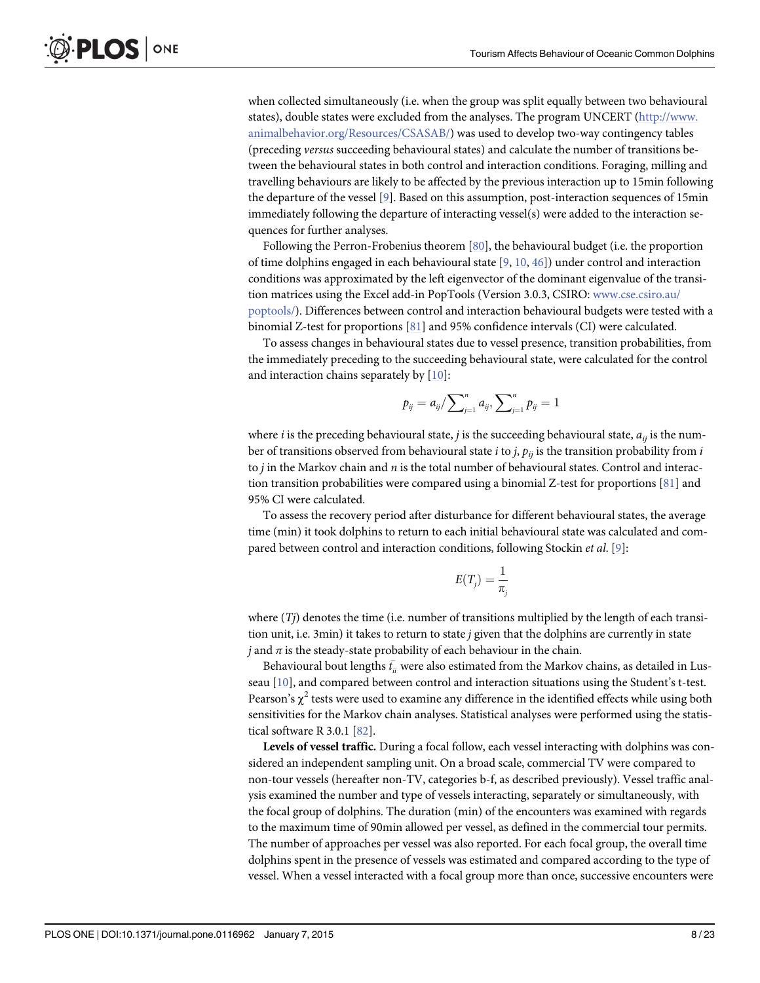<span id="page-7-0"></span>ONE LOS I

when collected simultaneously (i.e. when the group was split equally between two behavioural states), double states were excluded from the analyses. The program UNCERT ([http://www.](http://www.animalbehavior.org/Resources/CSASAB/) [animalbehavior.org/Resources/CSASAB/\)](http://www.animalbehavior.org/Resources/CSASAB/) was used to develop two-way contingency tables (preceding versus succeeding behavioural states) and calculate the number of transitions between the behavioural states in both control and interaction conditions. Foraging, milling and travelling behaviours are likely to be affected by the previous interaction up to 15min following the departure of the vessel [[9\]](#page-17-0). Based on this assumption, post-interaction sequences of 15min immediately following the departure of interacting vessel(s) were added to the interaction sequences for further analyses.

Following the Perron-Frobenius theorem [[80](#page-20-0)], the behavioural budget (i.e. the proportion of time dolphins engaged in each behavioural state  $[9, 10, 46]$  $[9, 10, 46]$  $[9, 10, 46]$  $[9, 10, 46]$  $[9, 10, 46]$  $[9, 10, 46]$ ) under control and interaction conditions was approximated by the left eigenvector of the dominant eigenvalue of the transition matrices using the Excel add-in PopTools (Version 3.0.3, CSIRO: [www.cse.csiro.au/](http://www.cse.csiro.au/poptools/) [poptools/\)](http://www.cse.csiro.au/poptools/). Differences between control and interaction behavioural budgets were tested with a binomial Z-test for proportions [\[81\]](#page-21-0) and 95% confidence intervals (CI) were calculated.

To assess changes in behavioural states due to vessel presence, transition probabilities, from the immediately preceding to the succeeding behavioural state, were calculated for the control and interaction chains separately by  $[10]$  $[10]$  $[10]$ :

$$
p_{ij} = a_{ij} / \sum_{j=1}^{n} a_{ij}, \sum_{j=1}^{n} p_{ij} = 1
$$

where *i* is the preceding behavioural state, *j* is the succeeding behavioural state,  $a_{ij}$  is the number of transitions observed from behavioural state *i* to *j*,  $p_{ii}$  is the transition probability from *i* to *j* in the Markov chain and *n* is the total number of behavioural states. Control and interaction transition probabilities were compared using a binomial Z-test for proportions [[81](#page-21-0)] and 95% CI were calculated.

To assess the recovery period after disturbance for different behavioural states, the average time (min) it took dolphins to return to each initial behavioural state was calculated and com-pared between control and interaction conditions, following Stockin et al. [[9\]](#page-17-0):

$$
E(T_j) = \frac{1}{\pi_j}
$$

where  $(T<sub>j</sub>)$  denotes the time (i.e. number of transitions multiplied by the length of each transition unit, i.e. 3min) it takes to return to state j given that the dolphins are currently in state j and  $\pi$  is the steady-state probability of each behaviour in the chain.

Behavioural bout lengths  $\bar{t_{ii}}$  were also estimated from the Markov chains, as detailed in Lusseau [\[10\]](#page-17-0), and compared between control and interaction situations using the Student's t-test. Pearson's  $\chi^2$  tests were used to examine any difference in the identified effects while using both sensitivities for the Markov chain analyses. Statistical analyses were performed using the statistical software R 3.0.1 [\[82](#page-21-0)].

Levels of vessel traffic. During a focal follow, each vessel interacting with dolphins was considered an independent sampling unit. On a broad scale, commercial TV were compared to non-tour vessels (hereafter non-TV, categories b-f, as described previously). Vessel traffic analysis examined the number and type of vessels interacting, separately or simultaneously, with the focal group of dolphins. The duration (min) of the encounters was examined with regards to the maximum time of 90min allowed per vessel, as defined in the commercial tour permits. The number of approaches per vessel was also reported. For each focal group, the overall time dolphins spent in the presence of vessels was estimated and compared according to the type of vessel. When a vessel interacted with a focal group more than once, successive encounters were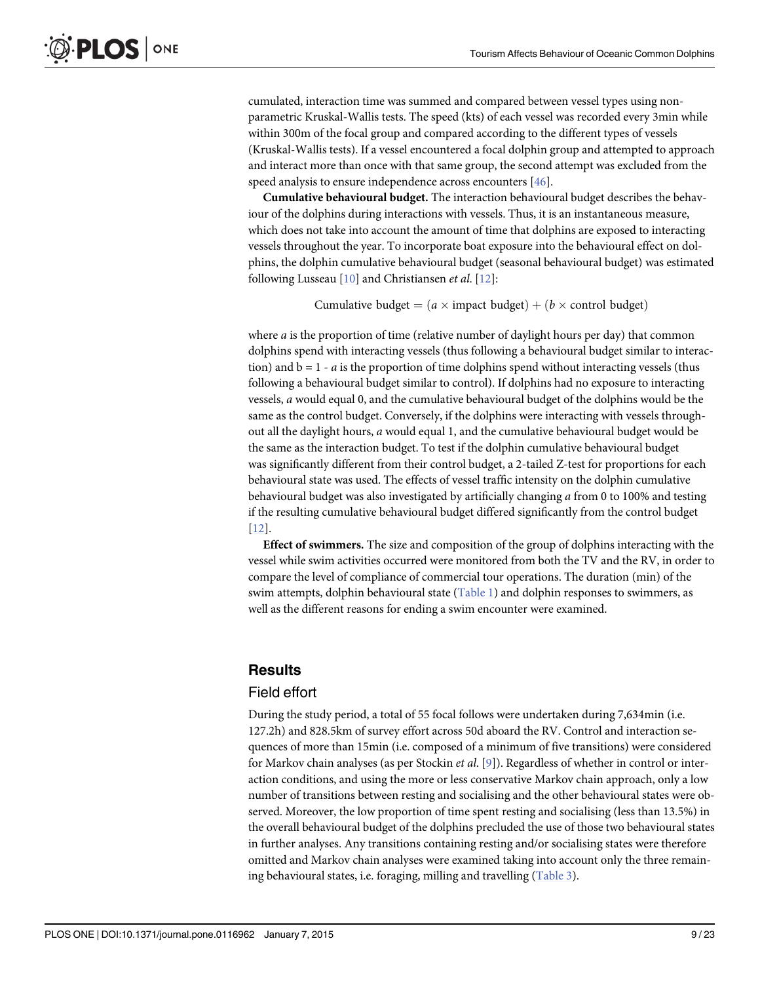<span id="page-8-0"></span>cumulated, interaction time was summed and compared between vessel types using nonparametric Kruskal-Wallis tests. The speed (kts) of each vessel was recorded every 3min while within 300m of the focal group and compared according to the different types of vessels (Kruskal-Wallis tests). If a vessel encountered a focal dolphin group and attempted to approach and interact more than once with that same group, the second attempt was excluded from the speed analysis to ensure independence across encounters [[46](#page-19-0)].

Cumulative behavioural budget. The interaction behavioural budget describes the behaviour of the dolphins during interactions with vessels. Thus, it is an instantaneous measure, which does not take into account the amount of time that dolphins are exposed to interacting vessels throughout the year. To incorporate boat exposure into the behavioural effect on dolphins, the dolphin cumulative behavioural budget (seasonal behavioural budget) was estimated following Lusseau  $[10]$  $[10]$  $[10]$  and Christiansen *et al.*  $[12]$ :

Cumulative budget  $= (a \times \text{impact budget}) + (b \times \text{control budget})$ 

where a is the proportion of time (relative number of daylight hours per day) that common dolphins spend with interacting vessels (thus following a behavioural budget similar to interaction) and  $b = 1 - a$  is the proportion of time dolphins spend without interacting vessels (thus following a behavioural budget similar to control). If dolphins had no exposure to interacting vessels, a would equal 0, and the cumulative behavioural budget of the dolphins would be the same as the control budget. Conversely, if the dolphins were interacting with vessels throughout all the daylight hours, a would equal 1, and the cumulative behavioural budget would be the same as the interaction budget. To test if the dolphin cumulative behavioural budget was significantly different from their control budget, a 2-tailed Z-test for proportions for each behavioural state was used. The effects of vessel traffic intensity on the dolphin cumulative behavioural budget was also investigated by artificially changing a from 0 to 100% and testing if the resulting cumulative behavioural budget differed significantly from the control budget [\[12](#page-17-0)].

Effect of swimmers. The size and composition of the group of dolphins interacting with the vessel while swim activities occurred were monitored from both the TV and the RV, in order to compare the level of compliance of commercial tour operations. The duration (min) of the swim attempts, dolphin behavioural state  $(Table 1)$  $(Table 1)$  and dolphin responses to swimmers, as well as the different reasons for ending a swim encounter were examined.

## **Results**

## Field effort

During the study period, a total of 55 focal follows were undertaken during 7,634min (i.e. 127.2h) and 828.5km of survey effort across 50d aboard the RV. Control and interaction sequences of more than 15min (i.e. composed of a minimum of five transitions) were considered for Markov chain analyses (as per Stockin *et al.* [[9](#page-17-0)]). Regardless of whether in control or interaction conditions, and using the more or less conservative Markov chain approach, only a low number of transitions between resting and socialising and the other behavioural states were observed. Moreover, the low proportion of time spent resting and socialising (less than 13.5%) in the overall behavioural budget of the dolphins precluded the use of those two behavioural states in further analyses. Any transitions containing resting and/or socialising states were therefore omitted and Markov chain analyses were examined taking into account only the three remaining behavioural states, i.e. foraging, milling and travelling ([Table 3](#page-9-0)).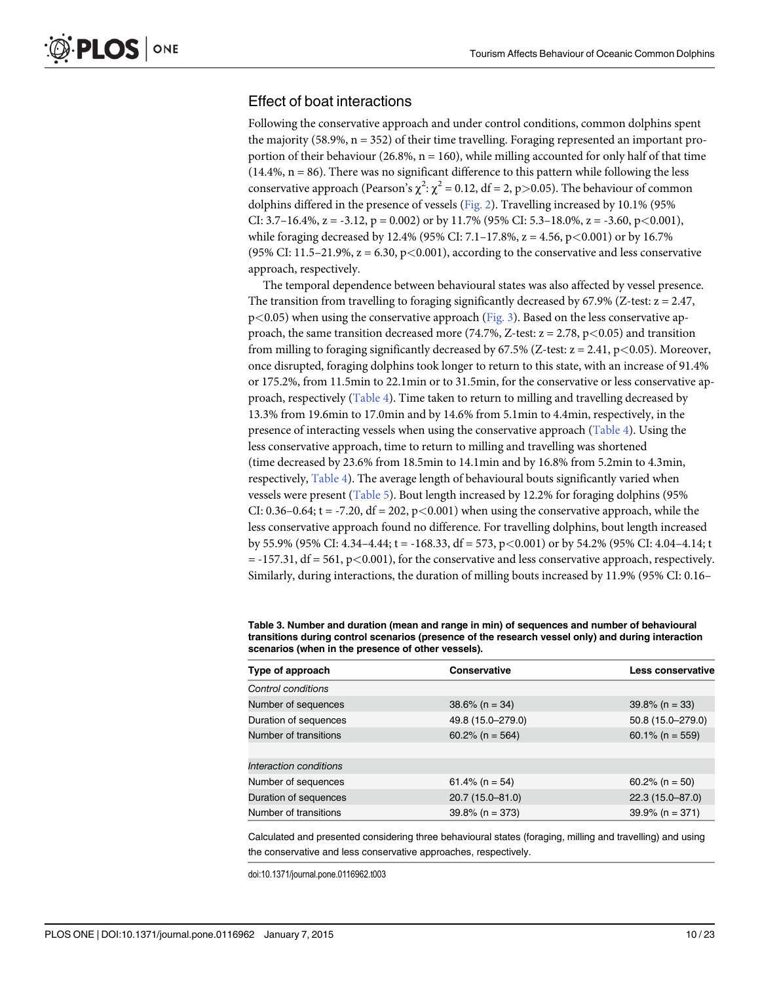## <span id="page-9-0"></span>Effect of boat interactions

Following the conservative approach and under control conditions, common dolphins spent the majority (58.9%,  $n = 352$ ) of their time travelling. Foraging represented an important proportion of their behaviour (26.8%,  $n = 160$ ), while milling accounted for only half of that time  $(14.4\%, n = 86)$ . There was no significant difference to this pattern while following the less conservative approach (Pearson's  $\chi^2$ :  $\chi^2$  = 0.12, df = 2, p>0.05). The behaviour of common dolphins differed in the presence of vessels ( $Fig. 2$ ). Travelling increased by 10.1% (95% CI: 3.7–16.4%,  $z = -3.12$ ,  $p = 0.002$ ) or by 11.7% (95% CI: 5.3–18.0%,  $z = -3.60$ ,  $p < 0.001$ ), while foraging decreased by 12.4% (95% CI: 7.1–17.8%, z = 4.56, p<0.001) or by 16.7% (95% CI:  $11.5-21.9$ %,  $z = 6.30$ ,  $p < 0.001$ ), according to the conservative and less conservative approach, respectively.

The temporal dependence between behavioural states was also affected by vessel presence. The transition from travelling to foraging significantly decreased by 67.9% (Z-test:  $z = 2.47$ ,  $p<0.05$ ) when using the conservative approach [\(Fig. 3\)](#page-11-0). Based on the less conservative approach, the same transition decreased more (74.7%, Z-test:  $z = 2.78$ , p $\lt$  0.05) and transition from milling to foraging significantly decreased by 67.5% (Z-test:  $z = 2.41$ ,  $p < 0.05$ ). Moreover, once disrupted, foraging dolphins took longer to return to this state, with an increase of 91.4% or 175.2%, from 11.5min to 22.1min or to 31.5min, for the conservative or less conservative approach, respectively [\(Table 4](#page-11-0)). Time taken to return to milling and travelling decreased by 13.3% from 19.6min to 17.0min and by 14.6% from 5.1min to 4.4min, respectively, in the presence of interacting vessels when using the conservative approach ([Table 4\)](#page-11-0). Using the less conservative approach, time to return to milling and travelling was shortened (time decreased by 23.6% from 18.5min to 14.1min and by 16.8% from 5.2min to 4.3min, respectively, [Table 4](#page-11-0)). The average length of behavioural bouts significantly varied when vessels were present [\(Table 5\)](#page-12-0). Bout length increased by 12.2% for foraging dolphins (95% CI:  $0.36-0.64$ ; t = -7.20, df = 202, p<0.001) when using the conservative approach, while the less conservative approach found no difference. For travelling dolphins, bout length increased by 55.9% (95% CI: 4.34–4.44; t = -168.33, df = 573, p<0.001) or by 54.2% (95% CI: 4.04–4.14; t  $= -157.31$ , df  $= 561$ , p $< 0.001$ ), for the conservative and less conservative approach, respectively. Similarly, during interactions, the duration of milling bouts increased by 11.9% (95% CI: 0.16–

| Type of approach       | <b>Conservative</b> | Less conservative  |
|------------------------|---------------------|--------------------|
| Control conditions     |                     |                    |
| Number of sequences    | $38.6\%$ (n = 34)   | $39.8\%$ (n = 33)  |
| Duration of sequences  | 49.8 (15.0-279.0)   | 50.8 (15.0-279.0)  |
| Number of transitions  | $60.2\%$ (n = 564)  | $60.1\%$ (n = 559) |
|                        |                     |                    |
| Interaction conditions |                     |                    |
| Number of sequences    | $61.4\%$ (n = 54)   | $60.2\%$ (n = 50)  |
| Duration of sequences  | 20.7 (15.0-81.0)    | 22.3 (15.0-87.0)   |
| Number of transitions  | $39.8\%$ (n = 373)  | $39.9\%$ (n = 371) |

[Table 3.](#page-8-0) Number and duration (mean and range in min) of sequences and number of behavioural transitions during control scenarios (presence of the research vessel only) and during interaction scenarios (when in the presence of other vessels).

Calculated and presented considering three behavioural states (foraging, milling and travelling) and using the conservative and less conservative approaches, respectively.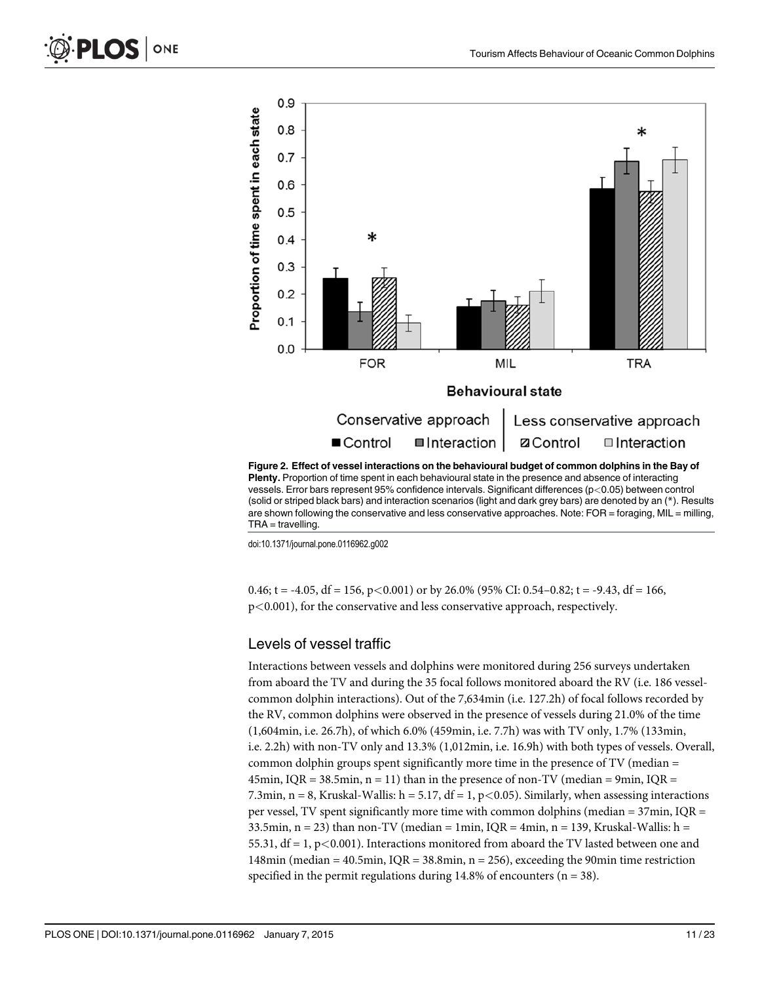<span id="page-10-0"></span>



(solid or striped black bars) and interaction scenarios (light and dark grey bars) are denoted by an (\*). Results are shown following the conservative and less conservative approaches. Note: FOR = foraging, MIL = milling,  $TRA =$  travelling.

doi:10.1371/journal.pone.0116962.g002

0.46; t = -4.05, df = 156, p < 0.001) or by 26.0% (95% CI: 0.54–0.82; t = -9.43, df = 166, p<0.001), for the conservative and less conservative approach, respectively.

#### Levels of vessel traffic

Interactions between vessels and dolphins were monitored during 256 surveys undertaken from aboard the TV and during the 35 focal follows monitored aboard the RV (i.e. 186 vesselcommon dolphin interactions). Out of the 7,634min (i.e. 127.2h) of focal follows recorded by the RV, common dolphins were observed in the presence of vessels during 21.0% of the time (1,604min, i.e. 26.7h), of which 6.0% (459min, i.e. 7.7h) was with TV only, 1.7% (133min, i.e. 2.2h) with non-TV only and 13.3% (1,012min, i.e. 16.9h) with both types of vessels. Overall, common dolphin groups spent significantly more time in the presence of TV (median = 45min, IQR = 38.5min,  $n = 11$ ) than in the presence of non-TV (median = 9min, IQR = 7.3min, n = 8, Kruskal-Wallis: h = 5.17, df = 1, p < 0.05). Similarly, when assessing interactions per vessel, TV spent significantly more time with common dolphins (median = 37min, IQR = 33.5min, n = 23) than non-TV (median = 1min,  $IQR = 4min$ , n = 139, Kruskal-Wallis: h = 55.31,  $df = 1$ ,  $p < 0.001$ ). Interactions monitored from aboard the TV lasted between one and 148min (median = 40.5min, IQR = 38.8min,  $n = 256$ ), exceeding the 90min time restriction specified in the permit regulations during  $14.8\%$  of encounters (n = 38).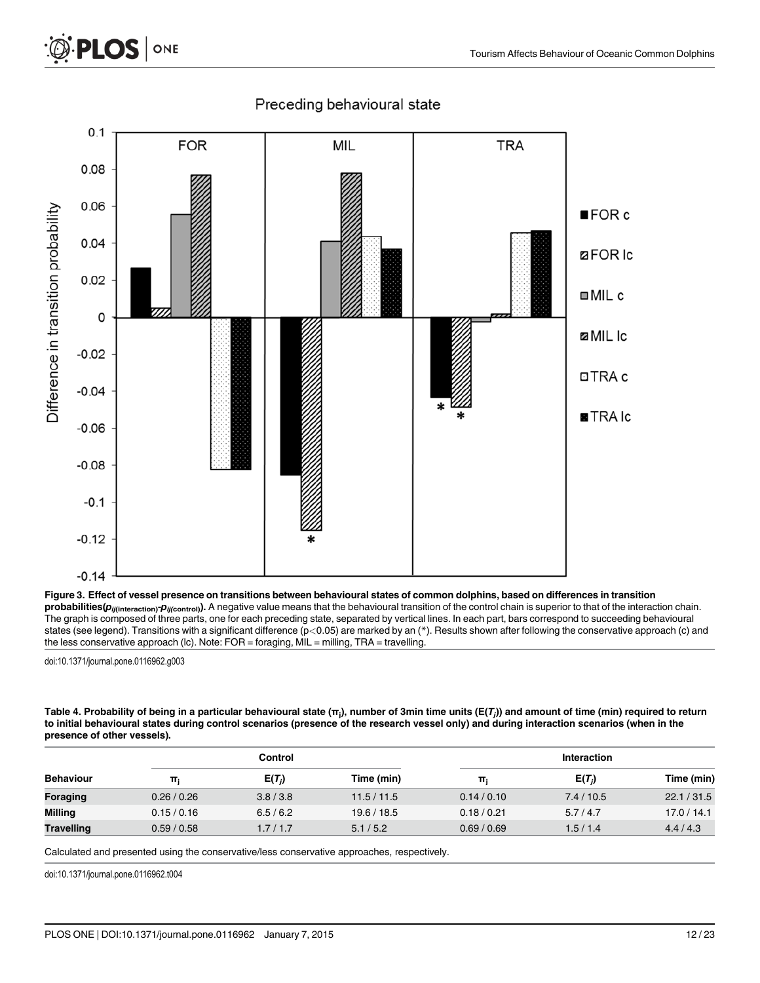

### Preceding behavioural state

[Figure 3.](#page-9-0) Effect of vessel presence on transitions between behavioural states of common dolphins, based on differences in transition  $probabilities(p_{ij(intreaction)}p_{ij(const)}).$  A negative value means that the behavioural transition of the control chain is superior to that of the interaction chain. The graph is composed of three parts, one for each preceding state, separated by vertical lines. In each part, bars correspond to succeeding behavioural states (see legend). Transitions with a significant difference (p<0.05) are marked by an (\*). Results shown after following the conservative approach (c) and the less conservative approach (lc). Note: FOR = foraging, MIL = milling, TRA = travelling.

doi:10.1371/journal.pone.0116962.g003

<span id="page-11-0"></span>PLOS ONE

[Table 4.](#page-9-0) Probability of being in a particular behavioural state (π<sub>j</sub>), number of 3min time units (E(T<sub>j</sub>)) and amount of time (min) required to return to initial behavioural states during control scenarios (presence of the research vessel only) and during interaction scenarios (when in the presence of other vessels).

|                   |           | Control   |             |             | Interaction |             |  |
|-------------------|-----------|-----------|-------------|-------------|-------------|-------------|--|
| <b>Behaviour</b>  | π         | $E(T_i)$  | Time (min)  | π           | $E(T_i)$    | Time (min)  |  |
| Foraging          | 0.26/0.26 | 3.8 / 3.8 | 11.5/11.5   | 0.14/0.10   | 7.4/10.5    | 22.1 / 31.5 |  |
| Milling           | 0.15/0.16 | 6.5/6.2   | 19.6 / 18.5 | 0.18 / 0.21 | 5.7/4.7     | 17.0 / 14.1 |  |
| <b>Travelling</b> | 0.59/0.58 | 1.7/1.7   | 5.1/5.2     | 0.69/0.69   | 1.5/1.4     | 4.4/4.3     |  |

Calculated and presented using the conservative/less conservative approaches, respectively.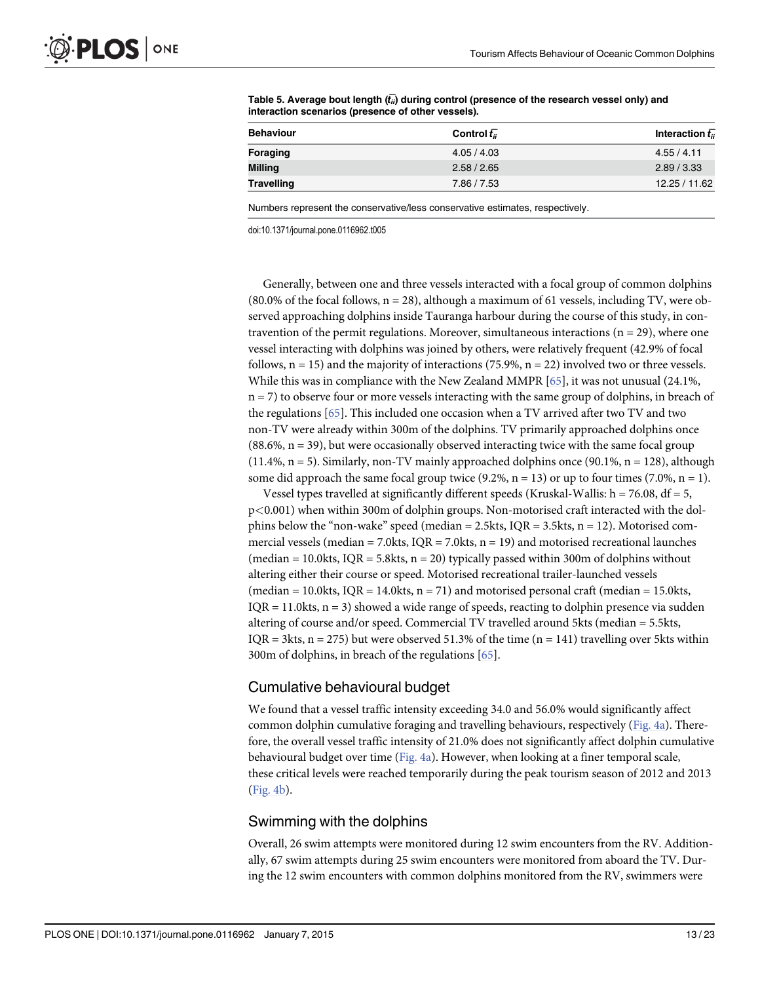| <b>Behaviour</b>  | Control $\bar{t}_{ii}$ | Interaction $\bar{t}_{ii}$ |
|-------------------|------------------------|----------------------------|
| <b>Foraging</b>   | 4.05/4.03              | 4.55 / 4.11                |
| Milling           | 2.58 / 2.65            | 2.89 / 3.33                |
| <b>Travelling</b> | 7.86 / 7.53            | 12.25 / 11.62              |

<span id="page-12-0"></span>[Table 5.](#page-9-0) Average bout length  $(t_{ii})$  during control (presence of the research vessel only) and interaction scenarios (presence of other vessels).

Numbers represent the conservative/less conservative estimates, respectively.

doi:10.1371/journal.pone.0116962.t005

Generally, between one and three vessels interacted with a focal group of common dolphins (80.0% of the focal follows,  $n = 28$ ), although a maximum of 61 vessels, including TV, were observed approaching dolphins inside Tauranga harbour during the course of this study, in contravention of the permit regulations. Moreover, simultaneous interactions ( $n = 29$ ), where one vessel interacting with dolphins was joined by others, were relatively frequent (42.9% of focal follows,  $n = 15$ ) and the majority of interactions (75.9%,  $n = 22$ ) involved two or three vessels. While this was in compliance with the New Zealand MMPR  $[65]$ , it was not unusual (24.1%,  $n = 7$ ) to observe four or more vessels interacting with the same group of dolphins, in breach of the regulations [[65](#page-20-0)]. This included one occasion when a TV arrived after two TV and two non-TV were already within 300m of the dolphins. TV primarily approached dolphins once  $(88.6\%, n = 39)$ , but were occasionally observed interacting twice with the same focal group  $(11.4\%, n = 5)$ . Similarly, non-TV mainly approached dolphins once  $(90.1\%, n = 128)$ , although some did approach the same focal group twice  $(9.2\%, n = 13)$  or up to four times  $(7.0\%, n = 1)$ .

Vessel types travelled at significantly different speeds (Kruskal-Wallis:  $h = 76.08$ ,  $df = 5$ , p<0.001) when within 300m of dolphin groups. Non-motorised craft interacted with the dolphins below the "non-wake" speed (median =  $2.5$ kts, IQR =  $3.5$ kts, n = 12). Motorised commercial vessels (median  $= 7.0$ kts, IQR  $= 7.0$ kts, n = 19) and motorised recreational launches (median = 10.0kts, IQR = 5.8kts,  $n = 20$ ) typically passed within 300m of dolphins without altering either their course or speed. Motorised recreational trailer-launched vessels (median = 10.0kts, IQR = 14.0kts,  $n = 71$ ) and motorised personal craft (median = 15.0kts,  $IQR = 11.0$ kts,  $n = 3$ ) showed a wide range of speeds, reacting to dolphin presence via sudden altering of course and/or speed. Commercial TV travelled around 5kts (median = 5.5kts, IQR = 3kts,  $n = 275$ ) but were observed 51.3% of the time  $(n = 141)$  travelling over 5kts within 300m of dolphins, in breach of the regulations [[65\]](#page-20-0).

#### Cumulative behavioural budget

We found that a vessel traffic intensity exceeding 34.0 and 56.0% would significantly affect common dolphin cumulative foraging and travelling behaviours, respectively [\(Fig. 4a](#page-13-0)). Therefore, the overall vessel traffic intensity of 21.0% does not significantly affect dolphin cumulative behavioural budget over time ([Fig. 4a\)](#page-13-0). However, when looking at a finer temporal scale, these critical levels were reached temporarily during the peak tourism season of 2012 and 2013 [\(Fig. 4b](#page-13-0)).

#### Swimming with the dolphins

Overall, 26 swim attempts were monitored during 12 swim encounters from the RV. Additionally, 67 swim attempts during 25 swim encounters were monitored from aboard the TV. During the 12 swim encounters with common dolphins monitored from the RV, swimmers were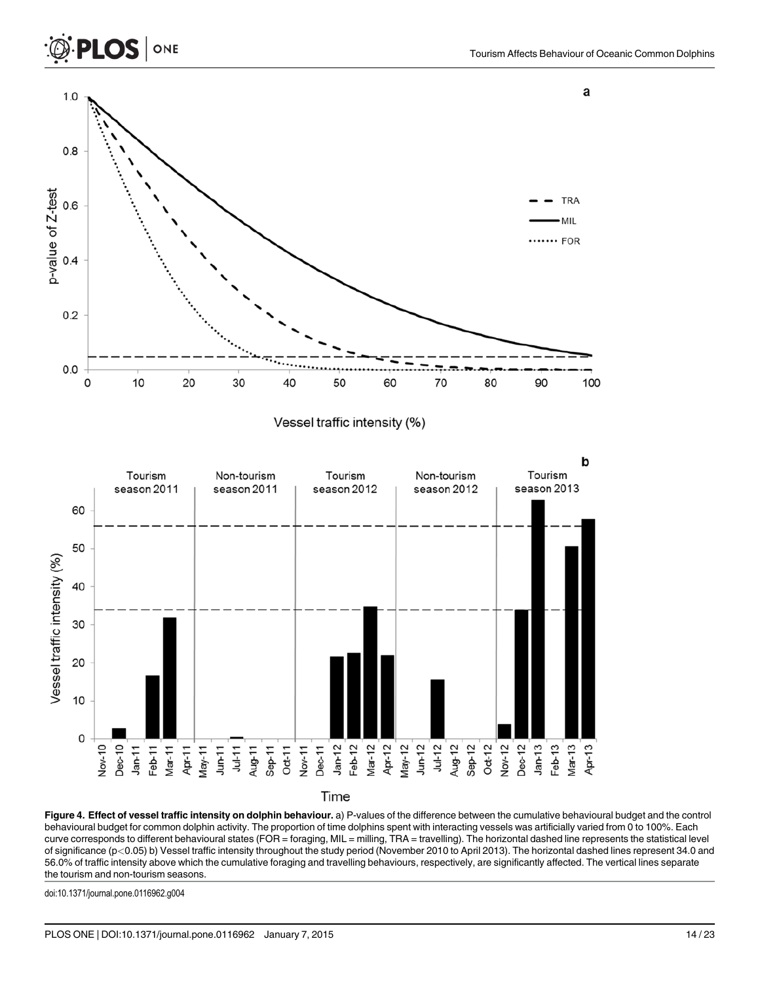

Time

[Figure 4.](#page-12-0) Effect of vessel traffic intensity on dolphin behaviour. a) P-values of the difference between the cumulative behavioural budget and the control behavioural budget for common dolphin activity. The proportion of time dolphins spent with interacting vessels was artificially varied from 0 to 100%. Each curve corresponds to different behavioural states (FOR = foraging, MIL = milling, TRA = travelling). The horizontal dashed line represents the statistical level of significance (p<0.05) b) Vessel traffic intensity throughout the study period (November 2010 to April 2013). The horizontal dashed lines represent 34.0 and 56.0% of traffic intensity above which the cumulative foraging and travelling behaviours, respectively, are significantly affected. The vertical lines separate the tourism and non-tourism seasons.

doi:10.1371/journal.pone.0116962.g004

<span id="page-13-0"></span>**PLOS I** 

ONE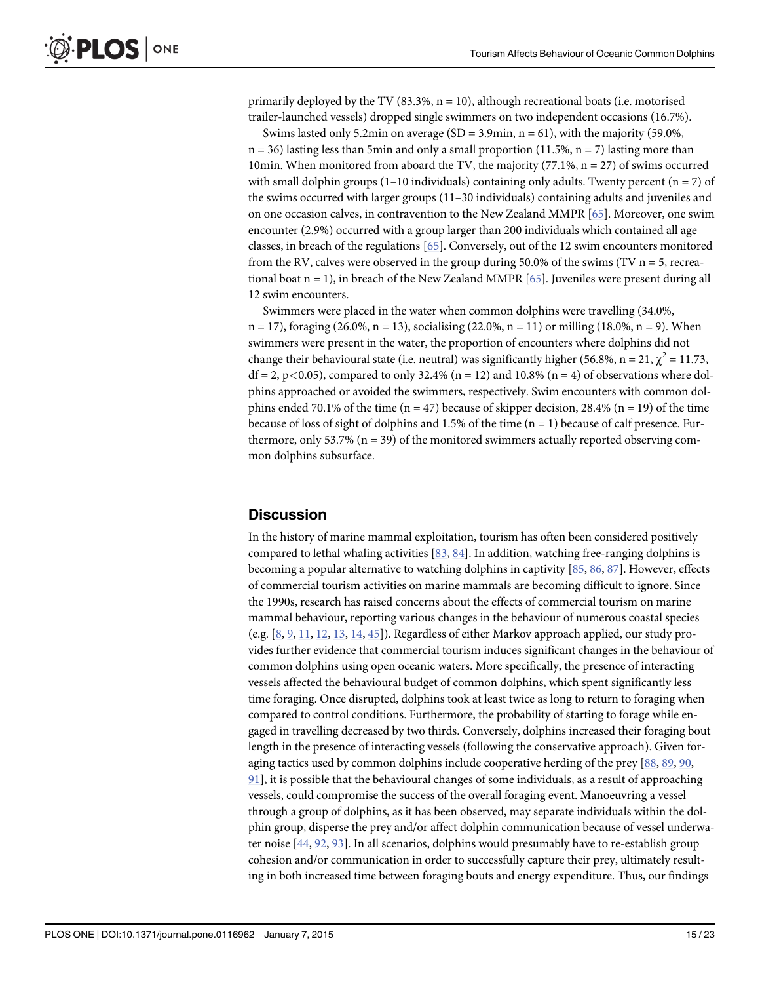<span id="page-14-0"></span>primarily deployed by the TV  $(83.3\%, n = 10)$ , although recreational boats (i.e. motorised trailer-launched vessels) dropped single swimmers on two independent occasions (16.7%).

Swims lasted only 5.2min on average  $(SD = 3.9$ min,  $n = 61$ ), with the majority (59.0%,  $n = 36$ ) lasting less than 5min and only a small proportion (11.5%,  $n = 7$ ) lasting more than 10min. When monitored from aboard the TV, the majority  $(77.1\%, n = 27)$  of swims occurred with small dolphin groups  $(1-10 \text{ individuals})$  containing only adults. Twenty percent  $(n = 7)$  of the swims occurred with larger groups (11–30 individuals) containing adults and juveniles and on one occasion calves, in contravention to the New Zealand MMPR [\[65\]](#page-20-0). Moreover, one swim encounter (2.9%) occurred with a group larger than 200 individuals which contained all age classes, in breach of the regulations [\[65\]](#page-20-0). Conversely, out of the 12 swim encounters monitored from the RV, calves were observed in the group during 50.0% of the swims (TV  $n = 5$ , recreational boat  $n = 1$ ), in breach of the New Zealand MMPR [[65](#page-20-0)]. Juveniles were present during all 12 swim encounters.

Swimmers were placed in the water when common dolphins were travelling (34.0%,  $n = 17$ , foraging (26.0%,  $n = 13$ ), socialising (22.0%,  $n = 11$ ) or milling (18.0%,  $n = 9$ ). When swimmers were present in the water, the proportion of encounters where dolphins did not change their behavioural state (i.e. neutral) was significantly higher (56.8%, n = 21,  $\chi^2$  = 11.73,  $df = 2$ , p<0.05), compared to only 32.4% (n = 12) and 10.8% (n = 4) of observations where dolphins approached or avoided the swimmers, respectively. Swim encounters with common dolphins ended 70.1% of the time (n = 47) because of skipper decision, 28.4% (n = 19) of the time because of loss of sight of dolphins and 1.5% of the time  $(n = 1)$  because of calf presence. Furthermore, only 53.7% ( $n = 39$ ) of the monitored swimmers actually reported observing common dolphins subsurface.

### **Discussion**

In the history of marine mammal exploitation, tourism has often been considered positively compared to lethal whaling activities [[83](#page-21-0), [84](#page-21-0)]. In addition, watching free-ranging dolphins is becoming a popular alternative to watching dolphins in captivity [\[85,](#page-21-0) [86,](#page-21-0) [87\]](#page-21-0). However, effects of commercial tourism activities on marine mammals are becoming difficult to ignore. Since the 1990s, research has raised concerns about the effects of commercial tourism on marine mammal behaviour, reporting various changes in the behaviour of numerous coastal species (e.g.  $[8, 9, 11, 12, 13, 14, 45]$  $[8, 9, 11, 12, 13, 14, 45]$  $[8, 9, 11, 12, 13, 14, 45]$  $[8, 9, 11, 12, 13, 14, 45]$  $[8, 9, 11, 12, 13, 14, 45]$  $[8, 9, 11, 12, 13, 14, 45]$  $[8, 9, 11, 12, 13, 14, 45]$  $[8, 9, 11, 12, 13, 14, 45]$  $[8, 9, 11, 12, 13, 14, 45]$  $[8, 9, 11, 12, 13, 14, 45]$  $[8, 9, 11, 12, 13, 14, 45]$  $[8, 9, 11, 12, 13, 14, 45]$  $[8, 9, 11, 12, 13, 14, 45]$  $[8, 9, 11, 12, 13, 14, 45]$ ). Regardless of either Markov approach applied, our study provides further evidence that commercial tourism induces significant changes in the behaviour of common dolphins using open oceanic waters. More specifically, the presence of interacting vessels affected the behavioural budget of common dolphins, which spent significantly less time foraging. Once disrupted, dolphins took at least twice as long to return to foraging when compared to control conditions. Furthermore, the probability of starting to forage while engaged in travelling decreased by two thirds. Conversely, dolphins increased their foraging bout length in the presence of interacting vessels (following the conservative approach). Given foraging tactics used by common dolphins include cooperative herding of the prey [\[88](#page-21-0), [89,](#page-21-0) [90,](#page-21-0) [91\]](#page-21-0), it is possible that the behavioural changes of some individuals, as a result of approaching vessels, could compromise the success of the overall foraging event. Manoeuvring a vessel through a group of dolphins, as it has been observed, may separate individuals within the dolphin group, disperse the prey and/or affect dolphin communication because of vessel underwater noise [[44](#page-19-0), [92](#page-21-0), [93](#page-21-0)]. In all scenarios, dolphins would presumably have to re-establish group cohesion and/or communication in order to successfully capture their prey, ultimately resulting in both increased time between foraging bouts and energy expenditure. Thus, our findings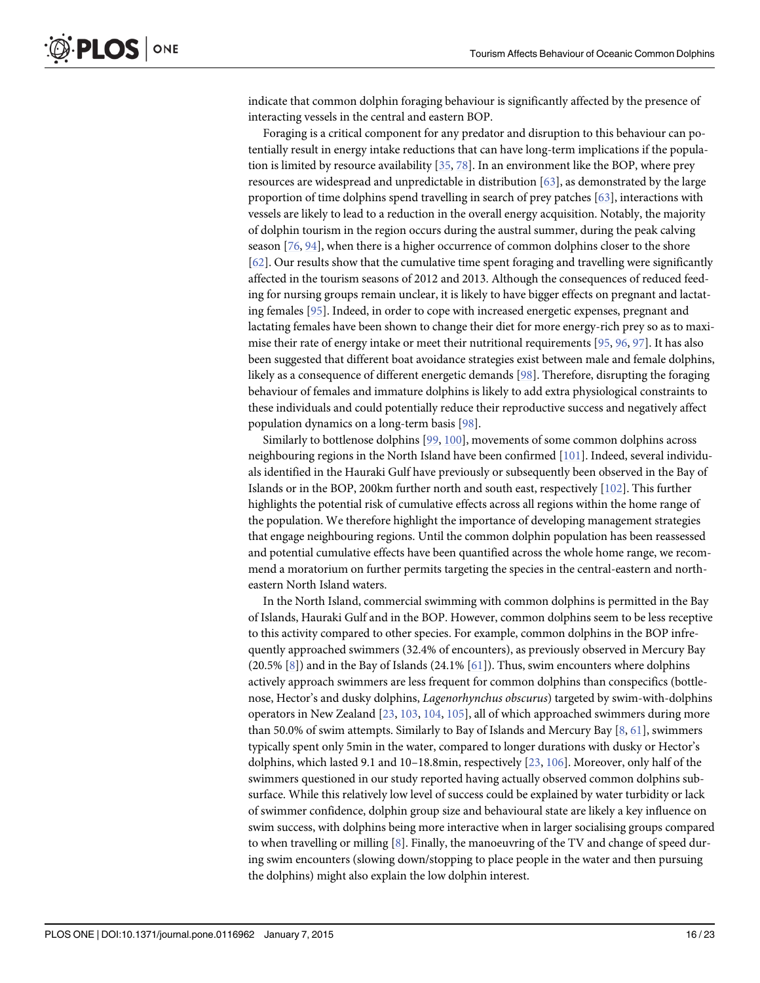<span id="page-15-0"></span>indicate that common dolphin foraging behaviour is significantly affected by the presence of interacting vessels in the central and eastern BOP.

Foraging is a critical component for any predator and disruption to this behaviour can potentially result in energy intake reductions that can have long-term implications if the population is limited by resource availability [[35](#page-18-0), [78](#page-20-0)]. In an environment like the BOP, where prey resources are widespread and unpredictable in distribution  $[63]$ , as demonstrated by the large proportion of time dolphins spend travelling in search of prey patches [\[63\]](#page-20-0), interactions with vessels are likely to lead to a reduction in the overall energy acquisition. Notably, the majority of dolphin tourism in the region occurs during the austral summer, during the peak calving season  $[76, 94]$  $[76, 94]$  $[76, 94]$  $[76, 94]$ , when there is a higher occurrence of common dolphins closer to the shore [\[62](#page-20-0)]. Our results show that the cumulative time spent foraging and travelling were significantly affected in the tourism seasons of 2012 and 2013. Although the consequences of reduced feeding for nursing groups remain unclear, it is likely to have bigger effects on pregnant and lactating females [\[95\]](#page-21-0). Indeed, in order to cope with increased energetic expenses, pregnant and lactating females have been shown to change their diet for more energy-rich prey so as to maximise their rate of energy intake or meet their nutritional requirements [[95,](#page-21-0) [96,](#page-21-0) [97](#page-21-0)]. It has also been suggested that different boat avoidance strategies exist between male and female dolphins, likely as a consequence of different energetic demands [[98](#page-21-0)]. Therefore, disrupting the foraging behaviour of females and immature dolphins is likely to add extra physiological constraints to these individuals and could potentially reduce their reproductive success and negatively affect population dynamics on a long-term basis [[98](#page-21-0)].

Similarly to bottlenose dolphins [[99](#page-21-0), [100](#page-21-0)], movements of some common dolphins across neighbouring regions in the North Island have been confirmed [[101](#page-21-0)]. Indeed, several individuals identified in the Hauraki Gulf have previously or subsequently been observed in the Bay of Islands or in the BOP, 200km further north and south east, respectively [\[102\]](#page-21-0). This further highlights the potential risk of cumulative effects across all regions within the home range of the population. We therefore highlight the importance of developing management strategies that engage neighbouring regions. Until the common dolphin population has been reassessed and potential cumulative effects have been quantified across the whole home range, we recommend a moratorium on further permits targeting the species in the central-eastern and northeastern North Island waters.

In the North Island, commercial swimming with common dolphins is permitted in the Bay of Islands, Hauraki Gulf and in the BOP. However, common dolphins seem to be less receptive to this activity compared to other species. For example, common dolphins in the BOP infrequently approached swimmers (32.4% of encounters), as previously observed in Mercury Bay  $(20.5\% \ 8])$  and in the Bay of Islands  $(24.1\% \ 61])$  $(24.1\% \ 61])$  $(24.1\% \ 61])$ . Thus, swim encounters where dolphins actively approach swimmers are less frequent for common dolphins than conspecifics (bottlenose, Hector's and dusky dolphins, Lagenorhynchus obscurus) targeted by swim-with-dolphins operators in New Zealand [\[23,](#page-18-0) [103,](#page-22-0) [104,](#page-22-0) [105](#page-22-0)], all of which approached swimmers during more than 50.0% of swim attempts. Similarly to Bay of Islands and Mercury Bay  $[8, 61]$  $[8, 61]$  $[8, 61]$  $[8, 61]$ , swimmers typically spent only 5min in the water, compared to longer durations with dusky or Hector's dolphins, which lasted 9.1 and 10–18.8min, respectively [\[23,](#page-18-0) [106](#page-22-0)]. Moreover, only half of the swimmers questioned in our study reported having actually observed common dolphins subsurface. While this relatively low level of success could be explained by water turbidity or lack of swimmer confidence, dolphin group size and behavioural state are likely a key influence on swim success, with dolphins being more interactive when in larger socialising groups compared to when travelling or milling  $[8]$  $[8]$  $[8]$ . Finally, the manoeuvring of the TV and change of speed during swim encounters (slowing down/stopping to place people in the water and then pursuing the dolphins) might also explain the low dolphin interest.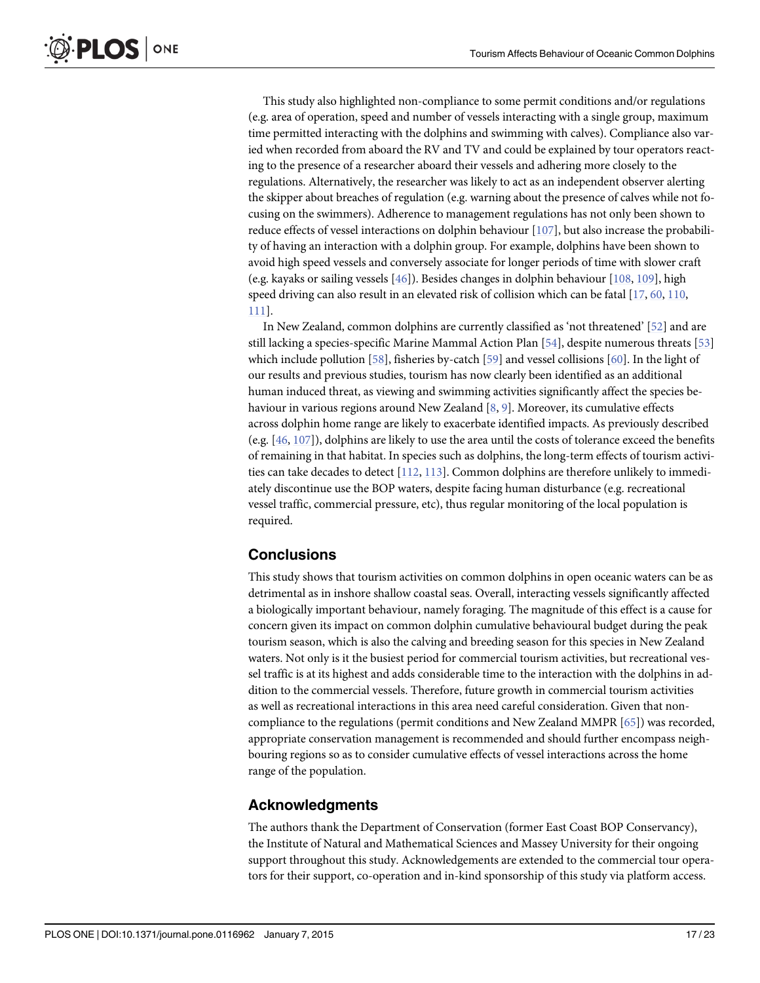<span id="page-16-0"></span>This study also highlighted non-compliance to some permit conditions and/or regulations (e.g. area of operation, speed and number of vessels interacting with a single group, maximum time permitted interacting with the dolphins and swimming with calves). Compliance also varied when recorded from aboard the RV and TV and could be explained by tour operators reacting to the presence of a researcher aboard their vessels and adhering more closely to the regulations. Alternatively, the researcher was likely to act as an independent observer alerting the skipper about breaches of regulation (e.g. warning about the presence of calves while not focusing on the swimmers). Adherence to management regulations has not only been shown to reduce effects of vessel interactions on dolphin behaviour [[107](#page-22-0)], but also increase the probability of having an interaction with a dolphin group. For example, dolphins have been shown to avoid high speed vessels and conversely associate for longer periods of time with slower craft (e.g. kayaks or sailing vessels  $[46]$  $[46]$  $[46]$ ). Besides changes in dolphin behaviour  $[108, 109]$  $[108, 109]$  $[108, 109]$  $[108, 109]$ , high speed driving can also result in an elevated risk of collision which can be fatal [\[17,](#page-18-0) [60,](#page-20-0) [110](#page-22-0), [111](#page-22-0)].

In New Zealand, common dolphins are currently classified as 'not threatened' [[52](#page-19-0)] and are still lacking a species-specific Marine Mammal Action Plan [\[54](#page-19-0)], despite numerous threats [[53](#page-19-0)] which include pollution  $[58]$  $[58]$ , fisheries by-catch  $[59]$  and vessel collisions  $[60]$ . In the light of our results and previous studies, tourism has now clearly been identified as an additional human induced threat, as viewing and swimming activities significantly affect the species be-haviour in various regions around New Zealand [\[8,](#page-17-0) [9](#page-17-0)]. Moreover, its cumulative effects across dolphin home range are likely to exacerbate identified impacts. As previously described (e.g. [\[46,](#page-19-0) [107\]](#page-22-0)), dolphins are likely to use the area until the costs of tolerance exceed the benefits of remaining in that habitat. In species such as dolphins, the long-term effects of tourism activities can take decades to detect [\[112,](#page-22-0) [113](#page-22-0)]. Common dolphins are therefore unlikely to immediately discontinue use the BOP waters, despite facing human disturbance (e.g. recreational vessel traffic, commercial pressure, etc), thus regular monitoring of the local population is required.

# **Conclusions**

This study shows that tourism activities on common dolphins in open oceanic waters can be as detrimental as in inshore shallow coastal seas. Overall, interacting vessels significantly affected a biologically important behaviour, namely foraging. The magnitude of this effect is a cause for concern given its impact on common dolphin cumulative behavioural budget during the peak tourism season, which is also the calving and breeding season for this species in New Zealand waters. Not only is it the busiest period for commercial tourism activities, but recreational vessel traffic is at its highest and adds considerable time to the interaction with the dolphins in addition to the commercial vessels. Therefore, future growth in commercial tourism activities as well as recreational interactions in this area need careful consideration. Given that noncompliance to the regulations (permit conditions and New Zealand MMPR [[65\]](#page-20-0)) was recorded, appropriate conservation management is recommended and should further encompass neighbouring regions so as to consider cumulative effects of vessel interactions across the home range of the population.

# Acknowledgments

The authors thank the Department of Conservation (former East Coast BOP Conservancy), the Institute of Natural and Mathematical Sciences and Massey University for their ongoing support throughout this study. Acknowledgements are extended to the commercial tour operators for their support, co-operation and in-kind sponsorship of this study via platform access.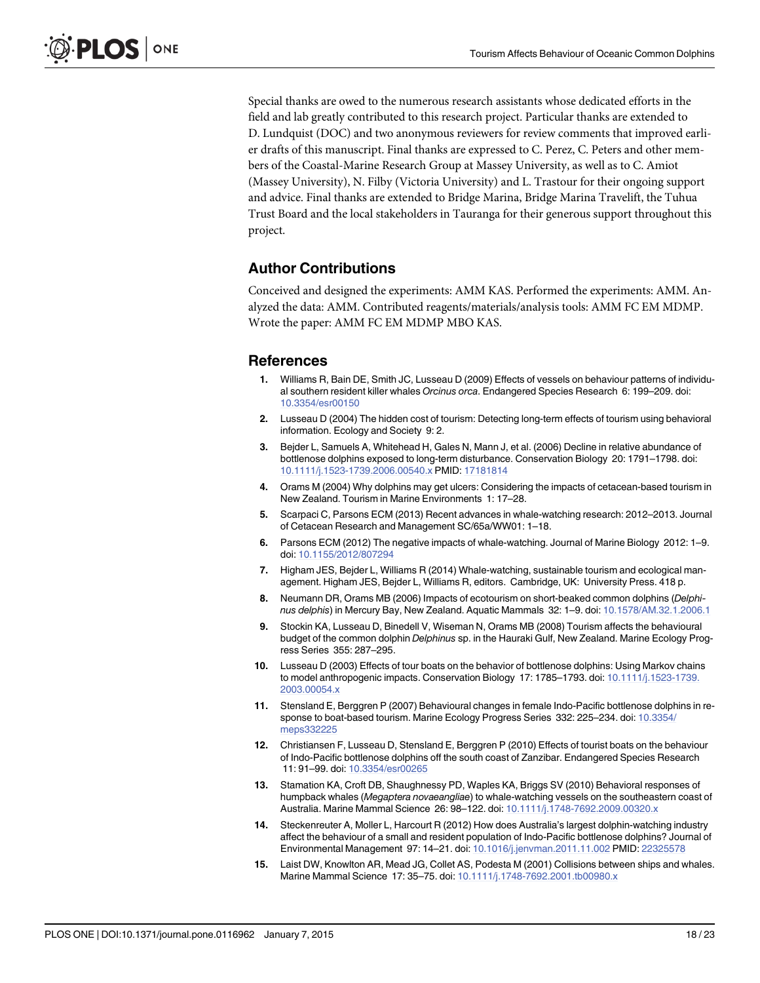<span id="page-17-0"></span>Special thanks are owed to the numerous research assistants whose dedicated efforts in the field and lab greatly contributed to this research project. Particular thanks are extended to D. Lundquist (DOC) and two anonymous reviewers for review comments that improved earlier drafts of this manuscript. Final thanks are expressed to C. Perez, C. Peters and other members of the Coastal-Marine Research Group at Massey University, as well as to C. Amiot (Massey University), N. Filby (Victoria University) and L. Trastour for their ongoing support and advice. Final thanks are extended to Bridge Marina, Bridge Marina Travelift, the Tuhua Trust Board and the local stakeholders in Tauranga for their generous support throughout this project.

# Author Contributions

Conceived and designed the experiments: AMM KAS. Performed the experiments: AMM. Analyzed the data: AMM. Contributed reagents/materials/analysis tools: AMM FC EM MDMP. Wrote the paper: AMM FC EM MDMP MBO KAS.

## **References**

- [1.](#page-1-0) Williams R, Bain DE, Smith JC, Lusseau D (2009) Effects of vessels on behaviour patterns of individual southern resident killer whales Orcinus orca. Endangered Species Research 6: 199–209. doi: [10.3354/esr00150](http://dx.doi.org/10.3354/esr00150)
- [2.](#page-1-0) Lusseau D (2004) The hidden cost of tourism: Detecting long-term effects of tourism using behavioral information. Ecology and Society 9: 2.
- [3.](#page-1-0) Bejder L, Samuels A, Whitehead H, Gales N, Mann J, et al. (2006) Decline in relative abundance of bottlenose dolphins exposed to long-term disturbance. Conservation Biology 20: 1791–1798. doi: [10.1111/j.1523-1739.2006.00540.x](http://dx.doi.org/10.1111/j.1523-1739.2006.00540.x) PMID: [17181814](http://www.ncbi.nlm.nih.gov/pubmed/17181814)
- [4.](#page-1-0) Orams M (2004) Why dolphins may get ulcers: Considering the impacts of cetacean-based tourism in New Zealand. Tourism in Marine Environments 1: 17–28.
- [5.](#page-1-0) Scarpaci C, Parsons ECM (2013) Recent advances in whale-watching research: 2012–2013. Journal of Cetacean Research and Management SC/65a/WW01: 1–18.
- [6.](#page-1-0) Parsons ECM (2012) The negative impacts of whale-watching. Journal of Marine Biology 2012: 1–9. doi: [10.1155/2012/807294](http://dx.doi.org/10.1155/2012/807294)
- [7.](#page-1-0) Higham JES, Bejder L, Williams R (2014) Whale-watching, sustainable tourism and ecological management. Higham JES, Bejder L, Williams R, editors. Cambridge, UK: University Press. 418 p.
- [8.](#page-1-0) Neumann DR, Orams MB (2006) Impacts of ecotourism on short-beaked common dolphins (Delphinus delphis) in Mercury Bay, New Zealand. Aquatic Mammals 32: 1–9. doi: [10.1578/AM.32.1.2006.1](http://dx.doi.org/10.1578/AM.32.1.2006.1)
- [9.](#page-1-0) Stockin KA, Lusseau D, Binedell V, Wiseman N, Orams MB (2008) Tourism affects the behavioural budget of the common dolphin Delphinus sp. in the Hauraki Gulf, New Zealand. Marine Ecology Progress Series 355: 287–295.
- [10.](#page-1-0) Lusseau D (2003) Effects of tour boats on the behavior of bottlenose dolphins: Using Markov chains to model anthropogenic impacts. Conservation Biology 17: 1785–1793. doi: [10.1111/j.1523-1739.](http://dx.doi.org/10.1111/j.1523-1739.2003.00054.x) [2003.00054.x](http://dx.doi.org/10.1111/j.1523-1739.2003.00054.x)
- [11.](#page-1-0) Stensland E, Berggren P (2007) Behavioural changes in female Indo-Pacific bottlenose dolphins in response to boat-based tourism. Marine Ecology Progress Series 332: 225–234. doi: [10.3354/](http://dx.doi.org/10.3354/meps332225) [meps332225](http://dx.doi.org/10.3354/meps332225)
- [12.](#page-1-0) Christiansen F, Lusseau D, Stensland E, Berggren P (2010) Effects of tourist boats on the behaviour of Indo-Pacific bottlenose dolphins off the south coast of Zanzibar. Endangered Species Research 11: 91–99. doi: [10.3354/esr00265](http://dx.doi.org/10.3354/esr00265)
- [13.](#page-1-0) Stamation KA, Croft DB, Shaughnessy PD, Waples KA, Briggs SV (2010) Behavioral responses of humpback whales (Megaptera novaeangliae) to whale-watching vessels on the southeastern coast of Australia. Marine Mammal Science 26: 98–122. doi: [10.1111/j.1748-7692.2009.00320.x](http://dx.doi.org/10.1111/j.1748-7692.2009.00320.x)
- [14.](#page-1-0) Steckenreuter A, Moller L, Harcourt R (2012) How does Australia's largest dolphin-watching industry affect the behaviour of a small and resident population of Indo-Pacific bottlenose dolphins? Journal of Environmental Management 97: 14–21. doi: [10.1016/j.jenvman.2011.11.002](http://dx.doi.org/10.1016/j.jenvman.2011.11.002) PMID: [22325578](http://www.ncbi.nlm.nih.gov/pubmed/22325578)
- [15.](#page-1-0) Laist DW, Knowlton AR, Mead JG, Collet AS, Podesta M (2001) Collisions between ships and whales. Marine Mammal Science 17: 35-75. doi: [10.1111/j.1748-7692.2001.tb00980.x](http://dx.doi.org/10.1111/j.1748-7692.2001.tb00980.x)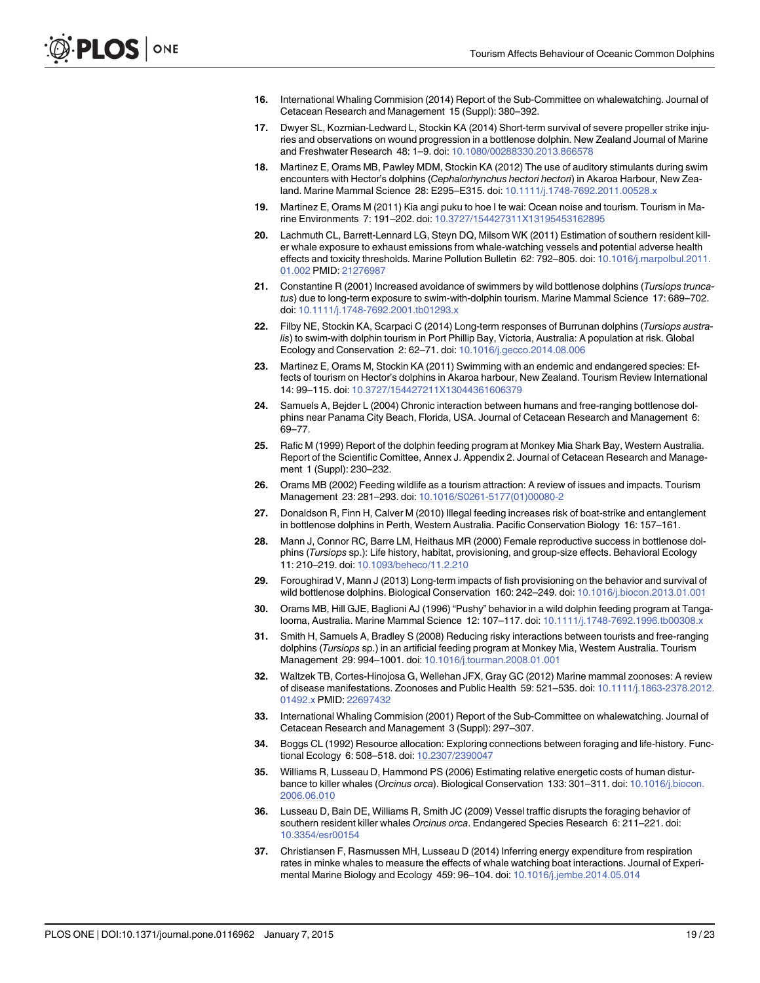- <span id="page-18-0"></span>[16.](#page-1-0) International Whaling Commision (2014) Report of the Sub-Committee on whalewatching. Journal of Cetacean Research and Management 15 (Suppl): 380–392.
- [17.](#page-1-0) Dwyer SL, Kozmian-Ledward L, Stockin KA (2014) Short-term survival of severe propeller strike injuries and observations on wound progression in a bottlenose dolphin. New Zealand Journal of Marine and Freshwater Research 48: 1–9. doi: [10.1080/00288330.2013.866578](http://dx.doi.org/10.1080/00288330.2013.866578)
- [18.](#page-1-0) Martinez E, Orams MB, Pawley MDM, Stockin KA (2012) The use of auditory stimulants during swim encounters with Hector's dolphins (Cephalorhynchus hectori hectori) in Akaroa Harbour, New Zea-land. Marine Mammal Science 28: E295-E315. doi: [10.1111/j.1748-7692.2011.00528.x](http://dx.doi.org/10.1111/j.1748-7692.2011.00528.x)
- [19.](#page-1-0) Martinez E, Orams M (2011) Kia angi puku to hoe I te wai: Ocean noise and tourism. Tourism in Marine Environments 7: 191–202. doi: [10.3727/154427311X13195453162895](http://dx.doi.org/10.3727/154427311X13195453162895)
- [20.](#page-1-0) Lachmuth CL, Barrett-Lennard LG, Steyn DQ, Milsom WK (2011) Estimation of southern resident killer whale exposure to exhaust emissions from whale-watching vessels and potential adverse health effects and toxicity thresholds. Marine Pollution Bulletin 62: 792–805. doi: [10.1016/j.marpolbul.2011.](http://dx.doi.org/10.1016/j.marpolbul.2011.01.002) [01.002](http://dx.doi.org/10.1016/j.marpolbul.2011.01.002) PMID: [21276987](http://www.ncbi.nlm.nih.gov/pubmed/21276987)
- [21.](#page-1-0) Constantine R (2001) Increased avoidance of swimmers by wild bottlenose dolphins (Tursiops truncatus) due to long-term exposure to swim-with-dolphin tourism. Marine Mammal Science 17: 689–702. doi: [10.1111/j.1748-7692.2001.tb01293.x](http://dx.doi.org/10.1111/j.1748-7692.2001.tb01293.x)
- [22.](#page-1-0) Filby NE, Stockin KA, Scarpaci C (2014) Long-term responses of Burrunan dolphins (Tursiops australis) to swim-with dolphin tourism in Port Phillip Bay, Victoria, Australia: A population at risk. Global Ecology and Conservation 2: 62–71. doi: [10.1016/j.gecco.2014.08.006](http://dx.doi.org/10.1016/j.gecco.2014.08.006)
- [23.](#page-1-0) Martinez E, Orams M, Stockin KA (2011) Swimming with an endemic and endangered species: Effects of tourism on Hector's dolphins in Akaroa harbour, New Zealand. Tourism Review International 14: 99–115. doi: [10.3727/154427211X13044361606379](http://dx.doi.org/10.3727/154427211X13044361606379)
- [24.](#page-1-0) Samuels A, Bejder L (2004) Chronic interaction between humans and free-ranging bottlenose dolphins near Panama City Beach, Florida, USA. Journal of Cetacean Research and Management 6: 69–77.
- [25.](#page-1-0) Rafic M (1999) Report of the dolphin feeding program at Monkey Mia Shark Bay, Western Australia. Report of the Scientific Comittee, Annex J. Appendix 2. Journal of Cetacean Research and Management 1 (Suppl): 230–232.
- [26.](#page-1-0) Orams MB (2002) Feeding wildlife as a tourism attraction: A review of issues and impacts. Tourism Management 23: 281–293. doi: [10.1016/S0261-5177\(01\)00080-2](http://dx.doi.org/10.1016/S0261-5177(01)00080-2)
- [27.](#page-1-0) Donaldson R, Finn H, Calver M (2010) Illegal feeding increases risk of boat-strike and entanglement in bottlenose dolphins in Perth, Western Australia. Pacific Conservation Biology 16: 157–161.
- [28.](#page-1-0) Mann J, Connor RC, Barre LM, Heithaus MR (2000) Female reproductive success in bottlenose dolphins (Tursiops sp.): Life history, habitat, provisioning, and group-size effects. Behavioral Ecology 11: 210–219. doi: [10.1093/beheco/11.2.210](http://dx.doi.org/10.1093/beheco/11.2.210)
- [29.](#page-1-0) Foroughirad V, Mann J (2013) Long-term impacts of fish provisioning on the behavior and survival of wild bottlenose dolphins. Biological Conservation 160: 242–249. doi: [10.1016/j.biocon.2013.01.001](http://dx.doi.org/10.1016/j.biocon.2013.01.001)
- [30.](#page-1-0) Orams MB, Hill GJE, Baglioni AJ (1996) "Pushy" behavior in a wild dolphin feeding program at Tangalooma, Australia. Marine Mammal Science 12: 107–117. doi: [10.1111/j.1748-7692.1996.tb00308.x](http://dx.doi.org/10.1111/j.1748-7692.1996.tb00308.x)
- [31.](#page-1-0) Smith H, Samuels A, Bradley S (2008) Reducing risky interactions between tourists and free-ranging dolphins (Tursiops sp.) in an artificial feeding program at Monkey Mia, Western Australia. Tourism Management 29: 994–1001. doi: [10.1016/j.tourman.2008.01.001](http://dx.doi.org/10.1016/j.tourman.2008.01.001)
- [32.](#page-1-0) Waltzek TB, Cortes-Hinojosa G, Wellehan JFX, Gray GC (2012) Marine mammal zoonoses: A review of disease manifestations. Zoonoses and Public Health 59: 521–535. doi: [10.1111/j.1863-2378.2012.](http://dx.doi.org/10.1111/j.1863-2378.2012.01492.x) [01492.x](http://dx.doi.org/10.1111/j.1863-2378.2012.01492.x) PMID: [22697432](http://www.ncbi.nlm.nih.gov/pubmed/22697432)
- [33.](#page-1-0) International Whaling Commision (2001) Report of the Sub-Committee on whalewatching. Journal of Cetacean Research and Management 3 (Suppl): 297–307.
- [34.](#page-1-0) Boggs CL (1992) Resource allocation: Exploring connections between foraging and life-history. Functional Ecology 6: 508–518. doi: [10.2307/2390047](http://dx.doi.org/10.2307/2390047)
- [35.](#page-1-0) Williams R, Lusseau D, Hammond PS (2006) Estimating relative energetic costs of human distur-bance to killer whales (Orcinus orca). Biological Conservation 133: 301-311. doi: [10.1016/j.biocon.](http://dx.doi.org/10.1016/j.biocon.2006.06.010) [2006.06.010](http://dx.doi.org/10.1016/j.biocon.2006.06.010)
- [36.](#page-1-0) Lusseau D, Bain DE, Williams R, Smith JC (2009) Vessel traffic disrupts the foraging behavior of southern resident killer whales Orcinus orca. Endangered Species Research 6: 211–221. doi: [10.3354/esr00154](http://dx.doi.org/10.3354/esr00154)
- [37.](#page-1-0) Christiansen F, Rasmussen MH, Lusseau D (2014) Inferring energy expenditure from respiration rates in minke whales to measure the effects of whale watching boat interactions. Journal of Experimental Marine Biology and Ecology 459: 96–104. doi: [10.1016/j.jembe.2014.05.014](http://dx.doi.org/10.1016/j.jembe.2014.05.014)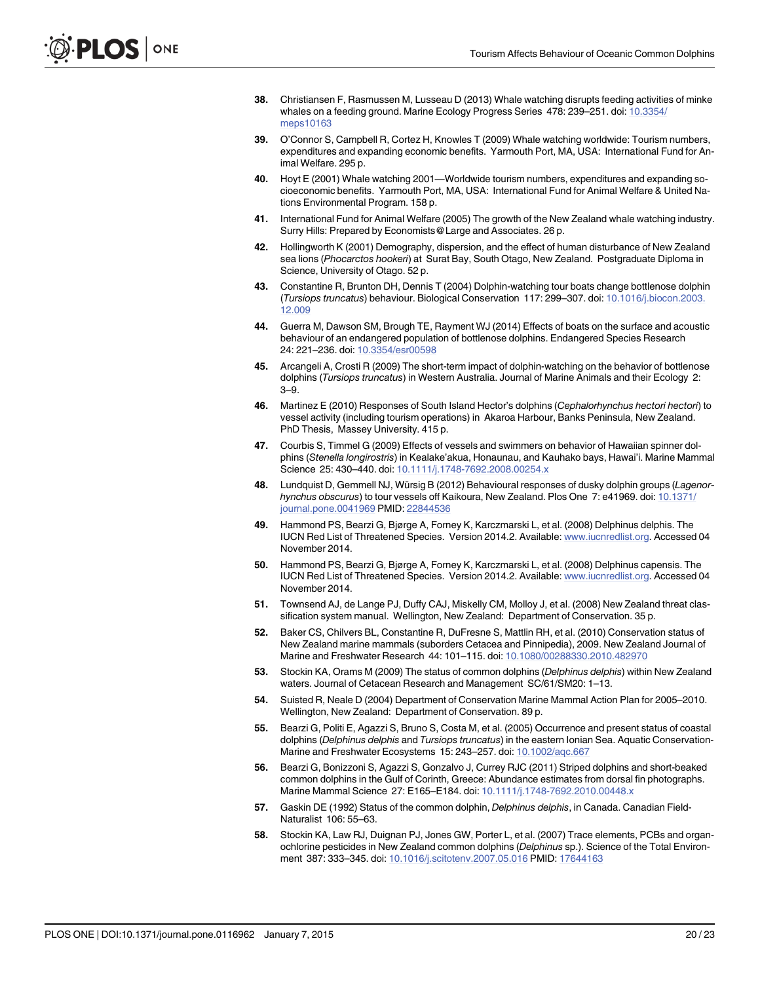- <span id="page-19-0"></span>[38.](#page-1-0) Christiansen F, Rasmussen M, Lusseau D (2013) Whale watching disrupts feeding activities of minke whales on a feeding ground. Marine Ecology Progress Series 478: 239–251. doi: [10.3354/](http://dx.doi.org/10.3354/meps10163) [meps10163](http://dx.doi.org/10.3354/meps10163)
- [39.](#page-1-0) O'Connor S, Campbell R, Cortez H, Knowles T (2009) Whale watching worldwide: Tourism numbers, expenditures and expanding economic benefits. Yarmouth Port, MA, USA: International Fund for Animal Welfare. 295 p.
- [40.](#page-1-0) Hoyt E (2001) Whale watching 2001—Worldwide tourism numbers, expenditures and expanding socioeconomic benefits. Yarmouth Port, MA, USA: International Fund for Animal Welfare & United Nations Environmental Program. 158 p.
- [41.](#page-1-0) International Fund for Animal Welfare (2005) The growth of the New Zealand whale watching industry. Surry Hills: Prepared by Economists@Large and Associates. 26 p.
- [42.](#page-1-0) Hollingworth K (2001) Demography, dispersion, and the effect of human disturbance of New Zealand sea lions (Phocarctos hookeri) at Surat Bay, South Otago, New Zealand. Postgraduate Diploma in Science, University of Otago. 52 p.
- [43.](#page-1-0) Constantine R, Brunton DH, Dennis T (2004) Dolphin-watching tour boats change bottlenose dolphin (Tursiops truncatus) behaviour. Biological Conservation 117: 299–307. doi: [10.1016/j.biocon.2003.](http://dx.doi.org/10.1016/j.biocon.2003.12.009) [12.009](http://dx.doi.org/10.1016/j.biocon.2003.12.009)
- [44.](#page-1-0) Guerra M, Dawson SM, Brough TE, Rayment WJ (2014) Effects of boats on the surface and acoustic behaviour of an endangered population of bottlenose dolphins. Endangered Species Research 24: 221–236. doi: [10.3354/esr00598](http://dx.doi.org/10.3354/esr00598)
- [45.](#page-1-0) Arcangeli A, Crosti R (2009) The short-term impact of dolphin-watching on the behavior of bottlenose dolphins (Tursiops truncatus) in Western Australia. Journal of Marine Animals and their Ecology 2: 3–9.
- [46.](#page-1-0) Martinez E (2010) Responses of South Island Hector's dolphins (Cephalorhynchus hectori hectori) to vessel activity (including tourism operations) in Akaroa Harbour, Banks Peninsula, New Zealand. PhD Thesis, Massey University. 415 p.
- [47.](#page-1-0) Courbis S, Timmel G (2009) Effects of vessels and swimmers on behavior of Hawaiian spinner dolphins (Stenella longirostris) in Kealake'akua, Honaunau, and Kauhako bays, Hawai'i. Marine Mammal Science 25: 430–440. doi: [10.1111/j.1748-7692.2008.00254.x](http://dx.doi.org/10.1111/j.1748-7692.2008.00254.x)
- [48.](#page-1-0) Lundquist D, Gemmell NJ, Würsig B (2012) Behavioural responses of dusky dolphin groups (Lagenor-hynchus obscurus) to tour vessels off Kaikoura, New Zealand. Plos One 7: e41969. doi: [10.1371/](http://dx.doi.org/10.1371/journal.pone.0041969) [journal.pone.0041969](http://dx.doi.org/10.1371/journal.pone.0041969) PMID: [22844536](http://www.ncbi.nlm.nih.gov/pubmed/22844536)
- [49.](#page-1-0) Hammond PS, Bearzi G, Bjørge A, Forney K, Karczmarski L, et al. (2008) Delphinus delphis. The IUCN Red List of Threatened Species. Version 2014.2. Available: [www.iucnredlist.org](http://www.iucnredlist.org). Accessed 04 November 2014.
- [50.](#page-1-0) Hammond PS, Bearzi G, Bjørge A, Forney K, Karczmarski L, et al. (2008) Delphinus capensis. The IUCN Red List of Threatened Species. Version 2014.2. Available: [www.iucnredlist.org](http://www.iucnredlist.org). Accessed 04 November 2014.
- [51.](#page-1-0) Townsend AJ, de Lange PJ, Duffy CAJ, Miskelly CM, Molloy J, et al. (2008) New Zealand threat classification system manual. Wellington, New Zealand: Department of Conservation. 35 p.
- [52.](#page-1-0) Baker CS, Chilvers BL, Constantine R, DuFresne S, Mattlin RH, et al. (2010) Conservation status of New Zealand marine mammals (suborders Cetacea and Pinnipedia), 2009. New Zealand Journal of Marine and Freshwater Research 44: 101–115. doi: [10.1080/00288330.2010.482970](http://dx.doi.org/10.1080/00288330.2010.482970)
- [53.](#page-2-0) Stockin KA, Orams M (2009) The status of common dolphins (Delphinus delphis) within New Zealand waters. Journal of Cetacean Research and Management SC/61/SM20: 1–13.
- [54.](#page-2-0) Suisted R, Neale D (2004) Department of Conservation Marine Mammal Action Plan for 2005–2010. Wellington, New Zealand: Department of Conservation. 89 p.
- [55.](#page-2-0) Bearzi G, Politi E, Agazzi S, Bruno S, Costa M, et al. (2005) Occurrence and present status of coastal dolphins (Delphinus delphis and Tursiops truncatus) in the eastern Ionian Sea. Aquatic Conservation-Marine and Freshwater Ecosystems 15: 243–257. doi: [10.1002/aqc.667](http://dx.doi.org/10.1002/aqc.667)
- [56.](#page-2-0) Bearzi G, Bonizzoni S, Agazzi S, Gonzalvo J, Currey RJC (2011) Striped dolphins and short-beaked common dolphins in the Gulf of Corinth, Greece: Abundance estimates from dorsal fin photographs. Marine Mammal Science 27: E165-E184. doi: [10.1111/j.1748-7692.2010.00448.x](http://dx.doi.org/10.1111/j.1748-7692.2010.00448.x)
- [57.](#page-2-0) Gaskin DE (1992) Status of the common dolphin, *Delphinus delphis*, in Canada. Canadian Field-Naturalist 106: 55–63.
- [58.](#page-2-0) Stockin KA, Law RJ, Duignan PJ, Jones GW, Porter L, et al. (2007) Trace elements, PCBs and organochlorine pesticides in New Zealand common dolphins (Delphinus sp.). Science of the Total Environment 387: 333–345. doi: [10.1016/j.scitotenv.2007.05.016](http://dx.doi.org/10.1016/j.scitotenv.2007.05.016) PMID: [17644163](http://www.ncbi.nlm.nih.gov/pubmed/17644163)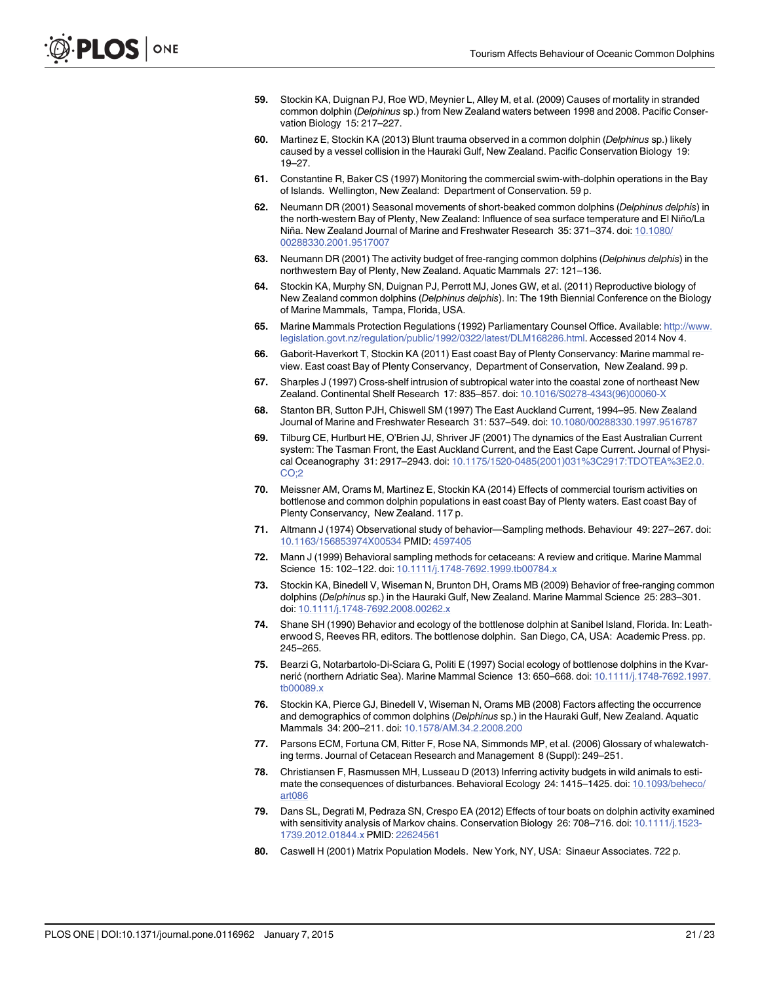- <span id="page-20-0"></span>[59.](#page-2-0) Stockin KA, Duignan PJ, Roe WD, Meynier L, Alley M, et al. (2009) Causes of mortality in stranded common dolphin (Delphinus sp.) from New Zealand waters between 1998 and 2008. Pacific Conservation Biology 15: 217–227.
- [60.](#page-2-0) Martinez E, Stockin KA (2013) Blunt trauma observed in a common dolphin (Delphinus sp.) likely caused by a vessel collision in the Hauraki Gulf, New Zealand. Pacific Conservation Biology 19: 19–27.
- [61.](#page-2-0) Constantine R, Baker CS (1997) Monitoring the commercial swim-with-dolphin operations in the Bay of Islands. Wellington, New Zealand: Department of Conservation. 59 p.
- [62.](#page-2-0) Neumann DR (2001) Seasonal movements of short-beaked common dolphins (Delphinus delphis) in the north-western Bay of Plenty, New Zealand: Influence of sea surface temperature and El Niño/La Niña. New Zealand Journal of Marine and Freshwater Research 35: 371–374. doi: [10.1080/](http://dx.doi.org/10.1080/00288330.2001.9517007) [00288330.2001.9517007](http://dx.doi.org/10.1080/00288330.2001.9517007)
- [63.](#page-2-0) Neumann DR (2001) The activity budget of free-ranging common dolphins (Delphinus delphis) in the northwestern Bay of Plenty, New Zealand. Aquatic Mammals 27: 121–136.
- [64.](#page-2-0) Stockin KA, Murphy SN, Duignan PJ, Perrott MJ, Jones GW, et al. (2011) Reproductive biology of New Zealand common dolphins (Delphinus delphis). In: The 19th Biennial Conference on the Biology of Marine Mammals, Tampa, Florida, USA.
- [65.](#page-2-0) Marine Mammals Protection Regulations (1992) Parliamentary Counsel Office. Available: [http://www.](http://www.legislation.govt.nz/regulation/public/1992/0322/latest/DLM168286.html) [legislation.govt.nz/regulation/public/1992/0322/latest/DLM168286.html](http://www.legislation.govt.nz/regulation/public/1992/0322/latest/DLM168286.html). Accessed 2014 Nov 4.
- [66.](#page-2-0) Gaborit-Haverkort T, Stockin KA (2011) East coast Bay of Plenty Conservancy: Marine mammal review. East coast Bay of Plenty Conservancy, Department of Conservation, New Zealand. 99 p.
- [67.](#page-2-0) Sharples J (1997) Cross-shelf intrusion of subtropical water into the coastal zone of northeast New Zealand. Continental Shelf Research 17: 835–857. doi: [10.1016/S0278-4343\(96\)00060-X](http://dx.doi.org/10.1016/S0278-4343(96)00060-X)
- [68.](#page-2-0) Stanton BR, Sutton PJH, Chiswell SM (1997) The East Auckland Current, 1994–95. New Zealand Journal of Marine and Freshwater Research 31: 537–549. doi: [10.1080/00288330.1997.9516787](http://dx.doi.org/10.1080/00288330.1997.9516787)
- [69.](#page-2-0) Tilburg CE, Hurlburt HE, O'Brien JJ, Shriver JF (2001) The dynamics of the East Australian Current system: The Tasman Front, the East Auckland Current, and the East Cape Current. Journal of Physical Oceanography 31: 2917–2943. doi: [10.1175/1520-0485\(2001\)031%3C2917:TDOTEA%3E2.0.](http://dx.doi.org/10.1175/1520-0485(2001)031%3C2917:TDOTEA%3E2.0.CO;2) [CO;2](http://dx.doi.org/10.1175/1520-0485(2001)031%3C2917:TDOTEA%3E2.0.CO;2)
- [70.](#page-2-0) Meissner AM, Orams M, Martinez E, Stockin KA (2014) Effects of commercial tourism activities on bottlenose and common dolphin populations in east coast Bay of Plenty waters. East coast Bay of Plenty Conservancy, New Zealand. 117 p.
- [71.](#page-3-0) Altmann J (1974) Observational study of behavior—Sampling methods. Behaviour 49: 227-267. doi: [10.1163/156853974X00534](http://dx.doi.org/10.1163/156853974X00534) PMID: [4597405](http://www.ncbi.nlm.nih.gov/pubmed/4597405)
- [72.](#page-3-0) Mann J (1999) Behavioral sampling methods for cetaceans: A review and critique. Marine Mammal Science 15: 102–122. doi: [10.1111/j.1748-7692.1999.tb00784.x](http://dx.doi.org/10.1111/j.1748-7692.1999.tb00784.x)
- [73.](#page-3-0) Stockin KA, Binedell V, Wiseman N, Brunton DH, Orams MB (2009) Behavior of free-ranging common dolphins (Delphinus sp.) in the Hauraki Gulf, New Zealand. Marine Mammal Science 25: 283–301. doi: [10.1111/j.1748-7692.2008.00262.x](http://dx.doi.org/10.1111/j.1748-7692.2008.00262.x)
- [74.](#page-4-0) Shane SH (1990) Behavior and ecology of the bottlenose dolphin at Sanibel Island, Florida. In: Leatherwood S, Reeves RR, editors. The bottlenose dolphin. San Diego, CA, USA: Academic Press. pp. 245–265.
- [75.](#page-4-0) Bearzi G, Notarbartolo-Di-Sciara G, Politi E (1997) Social ecology of bottlenose dolphins in the Kvarnerić (northern Adriatic Sea). Marine Mammal Science 13: 650–668. doi: [10.1111/j.1748-7692.1997.](http://dx.doi.org/10.1111/j.1748-7692.1997.tb00089.x) [tb00089.x](http://dx.doi.org/10.1111/j.1748-7692.1997.tb00089.x)
- [76.](#page-4-0) Stockin KA, Pierce GJ, Binedell V, Wiseman N, Orams MB (2008) Factors affecting the occurrence and demographics of common dolphins (Delphinus sp.) in the Hauraki Gulf, New Zealand. Aquatic Mammals 34: 200–211. doi: [10.1578/AM.34.2.2008.200](http://dx.doi.org/10.1578/AM.34.2.2008.200)
- [77.](#page-5-0) Parsons ECM, Fortuna CM, Ritter F, Rose NA, Simmonds MP, et al. (2006) Glossary of whalewatching terms. Journal of Cetacean Research and Management 8 (Suppl): 249–251.
- [78.](#page-5-0) Christiansen F, Rasmussen MH, Lusseau D (2013) Inferring activity budgets in wild animals to esti-mate the consequences of disturbances. Behavioral Ecology 24: 1415-1425. doi: [10.1093/beheco/](http://dx.doi.org/10.1093/beheco/art086) [art086](http://dx.doi.org/10.1093/beheco/art086)
- [79.](#page-5-0) Dans SL, Degrati M, Pedraza SN, Crespo EA (2012) Effects of tour boats on dolphin activity examined with sensitivity analysis of Markov chains. Conservation Biology 26: 708–716. doi: [10.1111/j.1523-](http://dx.doi.org/10.1111/j.1523-1739.2012.01844.x) [1739.2012.01844.x](http://dx.doi.org/10.1111/j.1523-1739.2012.01844.x) PMID: [22624561](http://www.ncbi.nlm.nih.gov/pubmed/22624561)
- [80.](#page-7-0) Caswell H (2001) Matrix Population Models. New York, NY, USA: Sinaeur Associates. 722 p.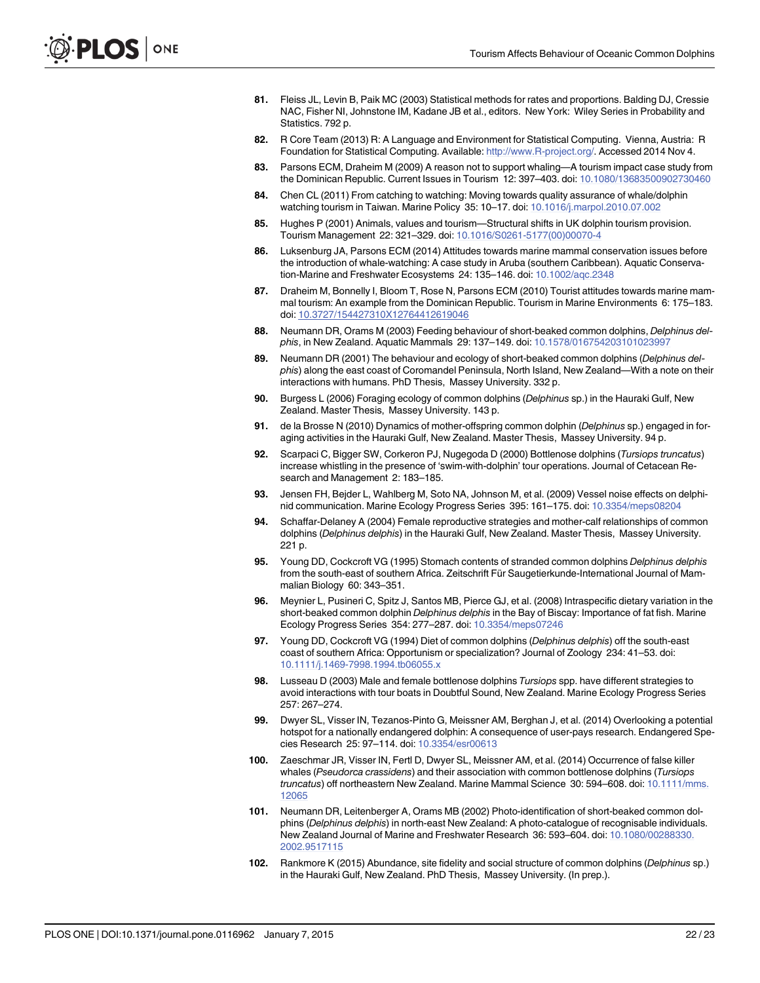- <span id="page-21-0"></span>[81.](#page-7-0) Fleiss JL, Levin B, Paik MC (2003) Statistical methods for rates and proportions. Balding DJ, Cressie NAC, Fisher NI, Johnstone IM, Kadane JB et al., editors. New York: Wiley Series in Probability and Statistics. 792 p.
- [82.](#page-7-0) R Core Team (2013) R: A Language and Environment for Statistical Computing. Vienna, Austria: R Foundation for Statistical Computing. Available: [http://www.R-project.org/.](http://www.R-project.org/) Accessed 2014 Nov 4.
- [83.](#page-14-0) Parsons ECM, Draheim M (2009) A reason not to support whaling—A tourism impact case study from the Dominican Republic. Current Issues in Tourism 12: 397–403. doi: [10.1080/13683500902730460](http://dx.doi.org/10.1080/13683500902730460)
- [84.](#page-14-0) Chen CL (2011) From catching to watching: Moving towards quality assurance of whale/dolphin watching tourism in Taiwan. Marine Policy 35: 10–17. doi: [10.1016/j.marpol.2010.07.002](http://dx.doi.org/10.1016/j.marpol.2010.07.002)
- [85.](#page-14-0) Hughes P (2001) Animals, values and tourism—Structural shifts in UK dolphin tourism provision. Tourism Management 22: 321–329. doi: [10.1016/S0261-5177\(00\)00070-4](http://dx.doi.org/10.1016/S0261-5177(00)00070-4)
- [86.](#page-14-0) Luksenburg JA, Parsons ECM (2014) Attitudes towards marine mammal conservation issues before the introduction of whale-watching: A case study in Aruba (southern Caribbean). Aquatic Conservation-Marine and Freshwater Ecosystems 24: 135–146. doi: [10.1002/aqc.2348](http://dx.doi.org/10.1002/aqc.2348)
- [87.](#page-14-0) Draheim M, Bonnelly I, Bloom T, Rose N, Parsons ECM (2010) Tourist attitudes towards marine mammal tourism: An example from the Dominican Republic. Tourism in Marine Environments 6: 175–183. doi: [10.3727/154427310X12764412619046](http://dx.doi.org/10.3727/154427310X12764412619046)
- [88.](#page-14-0) Neumann DR, Orams M (2003) Feeding behaviour of short-beaked common dolphins, Delphinus delphis, in New Zealand. Aquatic Mammals 29: 137–149. doi: [10.1578/016754203101023997](http://dx.doi.org/10.1578/016754203101023997)
- [89.](#page-14-0) Neumann DR (2001) The behaviour and ecology of short-beaked common dolphins (Delphinus delphis) along the east coast of Coromandel Peninsula, North Island, New Zealand—With a note on their interactions with humans. PhD Thesis, Massey University. 332 p.
- [90.](#page-14-0) Burgess L (2006) Foraging ecology of common dolphins (Delphinus sp.) in the Hauraki Gulf, New Zealand. Master Thesis, Massey University. 143 p.
- [91.](#page-14-0) de la Brosse N (2010) Dynamics of mother-offspring common dolphin (Delphinus sp.) engaged in foraging activities in the Hauraki Gulf, New Zealand. Master Thesis, Massey University. 94 p.
- [92.](#page-14-0) Scarpaci C, Bigger SW, Corkeron PJ, Nugegoda D (2000) Bottlenose dolphins (Tursiops truncatus) increase whistling in the presence of 'swim-with-dolphin' tour operations. Journal of Cetacean Research and Management 2: 183–185.
- [93.](#page-14-0) Jensen FH, Bejder L, Wahlberg M, Soto NA, Johnson M, et al. (2009) Vessel noise effects on delphinid communication. Marine Ecology Progress Series 395: 161–175. doi: [10.3354/meps08204](http://dx.doi.org/10.3354/meps08204)
- [94.](#page-15-0) Schaffar-Delaney A (2004) Female reproductive strategies and mother-calf relationships of common dolphins (Delphinus delphis) in the Hauraki Gulf, New Zealand. Master Thesis, Massey University. 221 p.
- [95.](#page-15-0) Young DD, Cockcroft VG (1995) Stomach contents of stranded common dolphins Delphinus delphis from the south-east of southern Africa. Zeitschrift Für Saugetierkunde-International Journal of Mammalian Biology 60: 343–351.
- [96.](#page-15-0) Meynier L, Pusineri C, Spitz J, Santos MB, Pierce GJ, et al. (2008) Intraspecific dietary variation in the short-beaked common dolphin Delphinus delphis in the Bay of Biscay: Importance of fat fish. Marine Ecology Progress Series 354: 277–287. doi: [10.3354/meps07246](http://dx.doi.org/10.3354/meps07246)
- [97.](#page-15-0) Young DD, Cockcroft VG (1994) Diet of common dolphins (Delphinus delphis) off the south-east coast of southern Africa: Opportunism or specialization? Journal of Zoology 234: 41–53. doi: [10.1111/j.1469-7998.1994.tb06055.x](http://dx.doi.org/10.1111/j.1469-7998.1994.tb06055.x)
- [98.](#page-15-0) Lusseau D (2003) Male and female bottlenose dolphins Tursiops spp. have different strategies to avoid interactions with tour boats in Doubtful Sound, New Zealand. Marine Ecology Progress Series 257: 267–274.
- [99.](#page-15-0) Dwyer SL, Visser IN, Tezanos-Pinto G, Meissner AM, Berghan J, et al. (2014) Overlooking a potential hotspot for a nationally endangered dolphin: A consequence of user-pays research. Endangered Species Research 25: 97–114. doi: [10.3354/esr00613](http://dx.doi.org/10.3354/esr00613)
- [100.](#page-15-0) Zaeschmar JR, Visser IN, Fertl D, Dwyer SL, Meissner AM, et al. (2014) Occurrence of false killer whales (Pseudorca crassidens) and their association with common bottlenose dolphins (Tursiops truncatus) off northeastern New Zealand. Marine Mammal Science 30: 594–608. doi: [10.1111/mms.](http://dx.doi.org/10.1111/mms.12065) [12065](http://dx.doi.org/10.1111/mms.12065)
- [101.](#page-15-0) Neumann DR, Leitenberger A, Orams MB (2002) Photo-identification of short-beaked common dolphins (Delphinus delphis) in north-east New Zealand: A photo-catalogue of recognisable individuals. New Zealand Journal of Marine and Freshwater Research 36: 593–604. doi: [10.1080/00288330.](http://dx.doi.org/10.1080/00288330.2002.9517115) [2002.9517115](http://dx.doi.org/10.1080/00288330.2002.9517115)
- [102.](#page-15-0) Rankmore K (2015) Abundance, site fidelity and social structure of common dolphins (Delphinus sp.) in the Hauraki Gulf, New Zealand. PhD Thesis, Massey University. (In prep.).